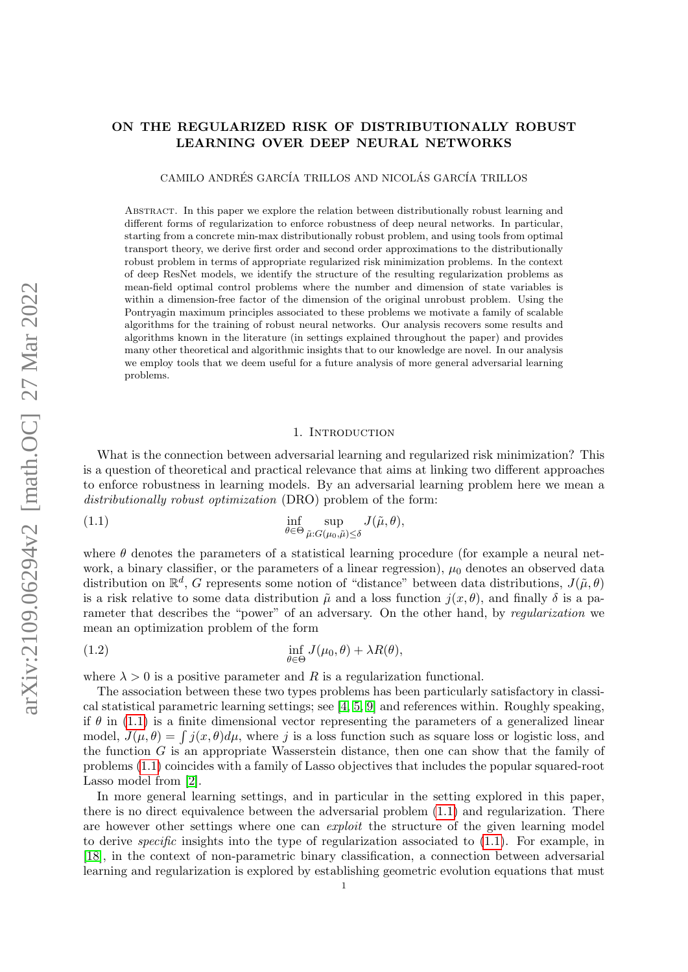# ON THE REGULARIZED RISK OF DISTRIBUTIONALLY ROBUST LEARNING OVER DEEP NEURAL NETWORKS

CAMILO ANDRÉS GARCÍA TRILLOS AND NICOLÁS GARCÍA TRILLOS

ABSTRACT. In this paper we explore the relation between distributionally robust learning and different forms of regularization to enforce robustness of deep neural networks. In particular, starting from a concrete min-max distributionally robust problem, and using tools from optimal transport theory, we derive first order and second order approximations to the distributionally robust problem in terms of appropriate regularized risk minimization problems. In the context of deep ResNet models, we identify the structure of the resulting regularization problems as mean-field optimal control problems where the number and dimension of state variables is within a dimension-free factor of the dimension of the original unrobust problem. Using the Pontryagin maximum principles associated to these problems we motivate a family of scalable algorithms for the training of robust neural networks. Our analysis recovers some results and algorithms known in the literature (in settings explained throughout the paper) and provides many other theoretical and algorithmic insights that to our knowledge are novel. In our analysis we employ tools that we deem useful for a future analysis of more general adversarial learning problems.

## <span id="page-0-0"></span>1. Introduction

What is the connection between adversarial learning and regularized risk minimization? This is a question of theoretical and practical relevance that aims at linking two different approaches to enforce robustness in learning models. By an adversarial learning problem here we mean a distributionally robust optimization (DRO) problem of the form:

(1.1) 
$$
\inf_{\theta \in \Theta} \sup_{\tilde{\mu}: G(\mu_0, \tilde{\mu}) \leq \delta} J(\tilde{\mu}, \theta),
$$

where  $\theta$  denotes the parameters of a statistical learning procedure (for example a neural network, a binary classifier, or the parameters of a linear regression),  $\mu_0$  denotes an observed data distribution on  $\mathbb{R}^d$ , G represents some notion of "distance" between data distributions,  $J(\tilde{\mu}, \theta)$ is a risk relative to some data distribution  $\tilde{\mu}$  and a loss function  $j(x, \theta)$ , and finally  $\delta$  is a parameter that describes the "power" of an adversary. On the other hand, by regularization we mean an optimization problem of the form

<span id="page-0-1"></span>(1.2) 
$$
\inf_{\theta \in \Theta} J(\mu_0, \theta) + \lambda R(\theta),
$$

where  $\lambda > 0$  is a positive parameter and R is a regularization functional.

The association between these two types problems has been particularly satisfactory in classical statistical parametric learning settings; see [\[4,](#page-27-0) [5,](#page-27-1) [9\]](#page-27-2) and references within. Roughly speaking, if  $\theta$  in [\(1.1\)](#page-0-0) is a finite dimensional vector representing the parameters of a generalized linear model,  $J(\mu, \theta) = \int j(x, \theta) d\mu$ , where j is a loss function such as square loss or logistic loss, and the function  $G$  is an appropriate Wasserstein distance, then one can show that the family of problems [\(1.1\)](#page-0-0) coincides with a family of Lasso objectives that includes the popular squared-root Lasso model from [\[2\]](#page-27-3).

In more general learning settings, and in particular in the setting explored in this paper, there is no direct equivalence between the adversarial problem [\(1.1\)](#page-0-0) and regularization. There are however other settings where one can exploit the structure of the given learning model to derive *specific* insights into the type of regularization associated to  $(1.1)$ . For example, in [\[18\]](#page-27-4), in the context of non-parametric binary classification, a connection between adversarial learning and regularization is explored by establishing geometric evolution equations that must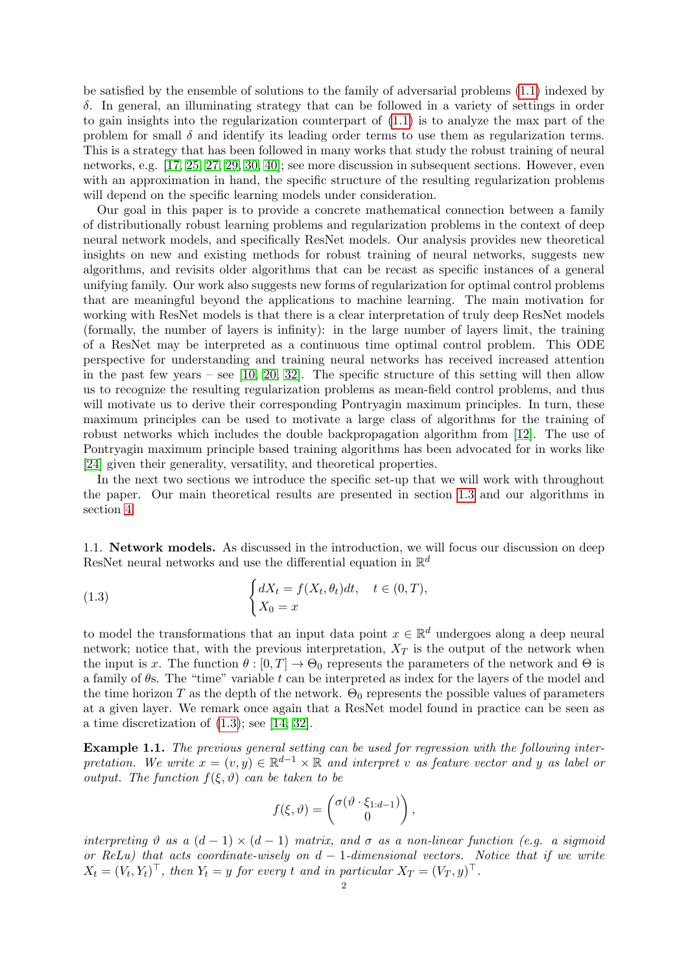be satisfied by the ensemble of solutions to the family of adversarial problems [\(1.1\)](#page-0-0) indexed by δ. In general, an illuminating strategy that can be followed in a variety of settings in order to gain insights into the regularization counterpart of [\(1.1\)](#page-0-0) is to analyze the max part of the problem for small  $\delta$  and identify its leading order terms to use them as regularization terms. This is a strategy that has been followed in many works that study the robust training of neural networks, e.g. [\[17,](#page-27-5) [25,](#page-28-0) [27,](#page-28-1) [29,](#page-28-2) [30,](#page-28-3) [40\]](#page-28-4); see more discussion in subsequent sections. However, even with an approximation in hand, the specific structure of the resulting regularization problems will depend on the specific learning models under consideration.

Our goal in this paper is to provide a concrete mathematical connection between a family of distributionally robust learning problems and regularization problems in the context of deep neural network models, and specifically ResNet models. Our analysis provides new theoretical insights on new and existing methods for robust training of neural networks, suggests new algorithms, and revisits older algorithms that can be recast as specific instances of a general unifying family. Our work also suggests new forms of regularization for optimal control problems that are meaningful beyond the applications to machine learning. The main motivation for working with ResNet models is that there is a clear interpretation of truly deep ResNet models (formally, the number of layers is infinity): in the large number of layers limit, the training of a ResNet may be interpreted as a continuous time optimal control problem. This ODE perspective for understanding and training neural networks has received increased attention in the past few years – see  $[10, 20, 32]$  $[10, 20, 32]$  $[10, 20, 32]$ . The specific structure of this setting will then allow us to recognize the resulting regularization problems as mean-field control problems, and thus will motivate us to derive their corresponding Pontryagin maximum principles. In turn, these maximum principles can be used to motivate a large class of algorithms for the training of robust networks which includes the double backpropagation algorithm from [\[12\]](#page-27-8). The use of Pontryagin maximum principle based training algorithms has been advocated for in works like [\[24\]](#page-28-6) given their generality, versatility, and theoretical properties.

In the next two sections we introduce the specific set-up that we will work with throughout the paper. Our main theoretical results are presented in section [1.3](#page-4-0) and our algorithms in section [4.](#page-22-0)

1.1. Network models. As discussed in the introduction, we will focus our discussion on deep ResNet neural networks and use the differential equation in  $\mathbb{R}^d$ 

<span id="page-1-0"></span>(1.3) 
$$
\begin{cases} dX_t = f(X_t, \theta_t)dt, & t \in (0, T), \\ X_0 = x \end{cases}
$$

to model the transformations that an input data point  $x \in \mathbb{R}^d$  undergoes along a deep neural network; notice that, with the previous interpretation,  $X_T$  is the output of the network when the input is x. The function  $\theta$ :  $[0, T] \rightarrow \Theta_0$  represents the parameters of the network and  $\Theta$  is a family of  $\theta$ s. The "time" variable t can be interpreted as index for the layers of the model and the time horizon T as the depth of the network.  $\Theta_0$  represents the possible values of parameters at a given layer. We remark once again that a ResNet model found in practice can be seen as a time discretization of  $(1.3)$ ; see [\[14,](#page-27-9) [32\]](#page-28-5).

<span id="page-1-1"></span>Example 1.1. The previous general setting can be used for regression with the following interpretation. We write  $x = (v, y) \in \mathbb{R}^{d-1} \times \mathbb{R}$  and interpret v as feature vector and y as label or output. The function  $f(\xi, \vartheta)$  can be taken to be

$$
f(\xi,\vartheta)=\begin{pmatrix} \sigma(\vartheta\cdot\xi_{1:d-1})\\0 \end{pmatrix},\,
$$

interpreting  $\vartheta$  as a  $(d-1) \times (d-1)$  matrix, and  $\sigma$  as a non-linear function (e.g. a sigmoid or ReLu) that acts coordinate-wisely on  $d-1$ -dimensional vectors. Notice that if we write  $X_t = (V_t, Y_t)^\top$ , then  $Y_t = y$  for every t and in particular  $X_T = (V_T, y)^\top$ .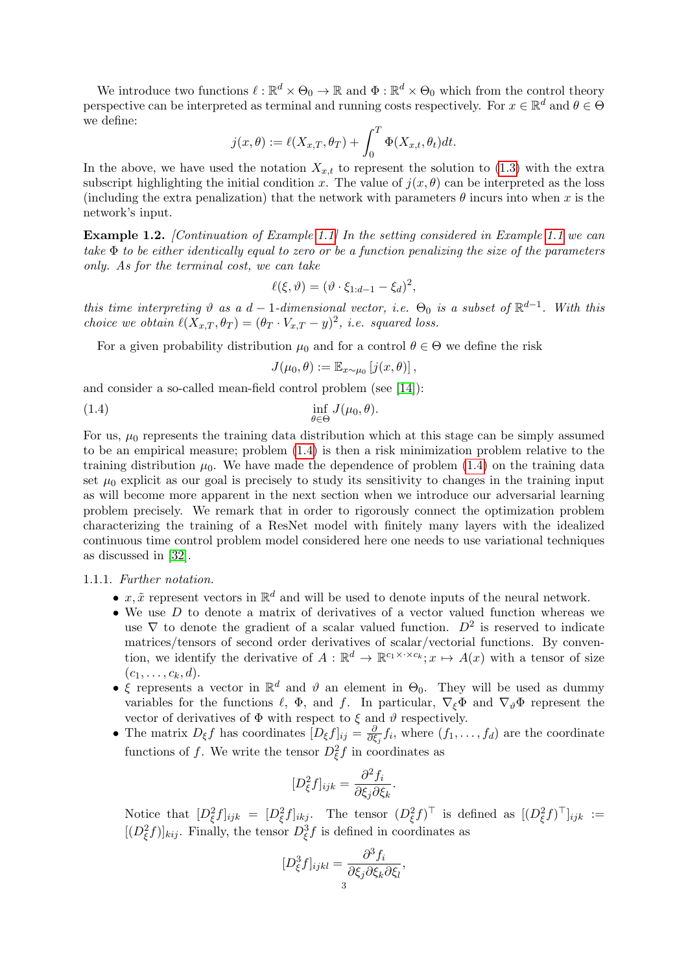We introduce two functions  $\ell : \mathbb{R}^d \times \Theta_0 \to \mathbb{R}$  and  $\Phi : \mathbb{R}^d \times \Theta_0$  which from the control theory perspective can be interpreted as terminal and running costs respectively. For  $x \in \mathbb{R}^d$  and  $\theta \in \Theta$ we define:

$$
j(x,\theta):=\ell(X_{x,T},\theta_T)+\int_0^T\Phi(X_{x,t},\theta_t)dt.
$$

In the above, we have used the notation  $X_{x,t}$  to represent the solution to [\(1.3\)](#page-1-0) with the extra subscript highlighting the initial condition x. The value of  $j(x, \theta)$  can be interpreted as the loss (including the extra penalization) that the network with parameters  $\theta$  incurs into when x is the network's input.

<span id="page-2-1"></span>Example 1.2. [Continuation of Example [1.1\]](#page-1-1) In the setting considered in Example [1.1](#page-1-1) we can take  $\Phi$  to be either identically equal to zero or be a function penalizing the size of the parameters only. As for the terminal cost, we can take

$$
\ell(\xi,\vartheta)=(\vartheta\cdot\xi_{1:d-1}-\xi_d)^2,
$$

this time interpreting  $\vartheta$  as a  $d-1$ -dimensional vector, i.e.  $\Theta_0$  is a subset of  $\mathbb{R}^{d-1}$ . With this choice we obtain  $\ell(X_{x,T} , \theta_T) = (\theta_T \cdot V_{x,T} - y)^2$ , i.e. squared loss.

For a given probability distribution  $\mu_0$  and for a control  $\theta \in \Theta$  we define the risk

<span id="page-2-0"></span>
$$
J(\mu_0,\theta) := \mathbb{E}_{x \sim \mu_0} [j(x,\theta)],
$$

and consider a so-called mean-field control problem (see [\[14\]](#page-27-9)):

(1.4) 
$$
\inf_{\theta \in \Theta} J(\mu_0, \theta).
$$

For us,  $\mu_0$  represents the training data distribution which at this stage can be simply assumed to be an empirical measure; problem [\(1.4\)](#page-2-0) is then a risk minimization problem relative to the training distribution  $\mu_0$ . We have made the dependence of problem [\(1.4\)](#page-2-0) on the training data set  $\mu_0$  explicit as our goal is precisely to study its sensitivity to changes in the training input as will become more apparent in the next section when we introduce our adversarial learning problem precisely. We remark that in order to rigorously connect the optimization problem characterizing the training of a ResNet model with finitely many layers with the idealized continuous time control problem model considered here one needs to use variational techniques as discussed in [\[32\]](#page-28-5).

## 1.1.1. Further notation.

- $x, \tilde{x}$  represent vectors in  $\mathbb{R}^d$  and will be used to denote inputs of the neural network.
- We use  $D$  to denote a matrix of derivatives of a vector valued function whereas we use  $\nabla$  to denote the gradient of a scalar valued function.  $D^2$  is reserved to indicate matrices/tensors of second order derivatives of scalar/vectorial functions. By convention, we identify the derivative of  $A: \mathbb{R}^d \to \mathbb{R}^{c_1 \times \cdots \times c_k}; x \mapsto A(x)$  with a tensor of size  $(c_1, \ldots, c_k, d)$ .
- ξ represents a vector in  $\mathbb{R}^d$  and  $\vartheta$  an element in  $\Theta_0$ . They will be used as dummy variables for the functions  $\ell$ ,  $\Phi$ , and f. In particular,  $\nabla_{\xi} \Phi$  and  $\nabla_{\theta} \Phi$  represent the vector of derivatives of  $\Phi$  with respect to  $\xi$  and  $\vartheta$  respectively.
- The matrix  $D_{\xi}f$  has coordinates  $[D_{\xi}f]_{ij} = \frac{\delta}{\partial \ell}$  $\frac{\partial}{\partial \xi_j} f_i$ , where  $(f_1, \ldots, f_d)$  are the coordinate functions of f. We write the tensor  $D_{\xi}^2 f$  in coordinates as

$$
[D_{\xi}^{2}f]_{ijk} = \frac{\partial^{2} f_{i}}{\partial \xi_{j} \partial \xi_{k}}.
$$

Notice that  $[D_{\xi}^2 f]_{ijk} = [D_{\xi}^2 f]_{ikj}$ . The tensor  $(D_{\xi}^2 f)^{\top}$  is defined as  $[(D_{\xi}^2 f)^{\top}]_{ijk}$  :=  $[(D_{\xi}^{2}f)]_{kij}$ . Finally, the tensor  $D_{\xi}^{3}f$  is defined in coordinates as

$$
[D_{\xi}^3 f]_{ijkl} = \frac{\partial^3 f_i}{\partial \xi_j \partial \xi_k \partial \xi_l},
$$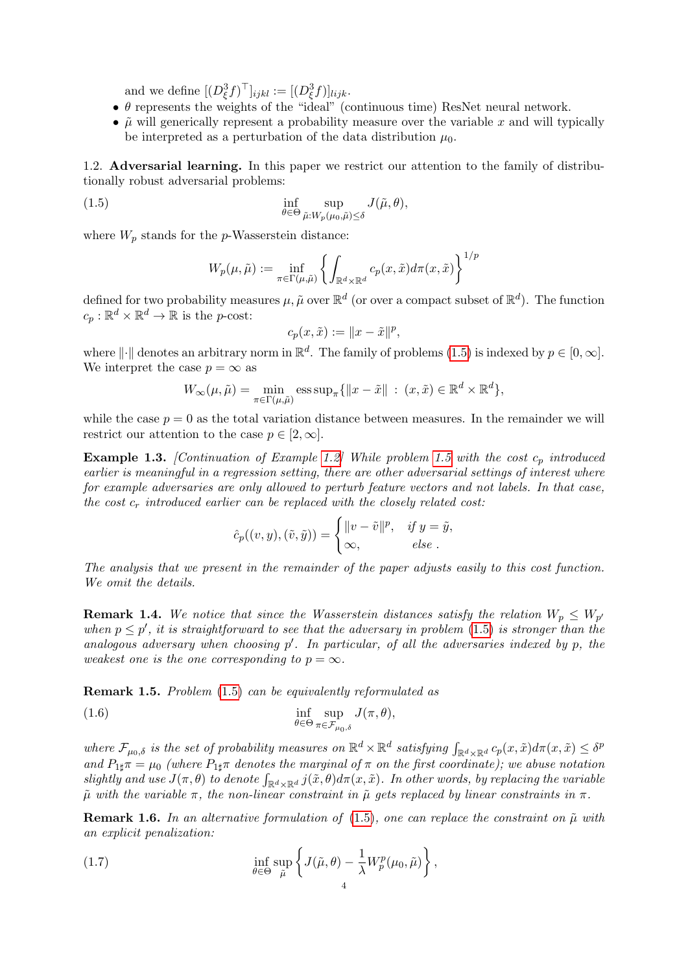and we define  $[(D_{\xi}^3 f)^{\top}]_{ijkl} := [(D_{\xi}^3 f)]_{lijk}$ .

- $\bullet$   $\theta$  represents the weights of the "ideal" (continuous time) ResNet neural network.
- $\tilde{\mu}$  will generically represent a probability measure over the variable x and will typically be interpreted as a perturbation of the data distribution  $\mu_0$ .

1.2. Adversarial learning. In this paper we restrict our attention to the family of distributionally robust adversarial problems:

(1.5) 
$$
\inf_{\theta \in \Theta} \sup_{\tilde{\mu}: W_p(\mu_0, \tilde{\mu}) \leq \delta} J(\tilde{\mu}, \theta),
$$

where  $W_p$  stands for the p-Wasserstein distance:

<span id="page-3-0"></span>
$$
W_p(\mu, \tilde{\mu}) := \inf_{\pi \in \Gamma(\mu, \tilde{\mu})} \left\{ \int_{\mathbb{R}^d \times \mathbb{R}^d} c_p(x, \tilde{x}) d\pi(x, \tilde{x}) \right\}^{1/p}
$$

defined for two probability measures  $\mu$ ,  $\tilde{\mu}$  over  $\mathbb{R}^d$  (or over a compact subset of  $\mathbb{R}^d$ ). The function  $c_p : \mathbb{R}^d \times \mathbb{R}^d \to \mathbb{R}$  is the p-cost:

$$
c_p(x,\tilde{x}) := \|x - \tilde{x}\|^p,
$$

where  $\|\cdot\|$  denotes an arbitrary norm in  $\mathbb{R}^d$ . The family of problems [\(1.5\)](#page-3-0) is indexed by  $p \in [0, \infty]$ . We interpret the case  $p = \infty$  as

$$
W_{\infty}(\mu, \tilde{\mu}) = \min_{\pi \in \Gamma(\mu, \tilde{\mu})} \operatorname{ess} \operatorname{sup}_{\pi} \{ ||x - \tilde{x}|| : (x, \tilde{x}) \in \mathbb{R}^d \times \mathbb{R}^d \},
$$

while the case  $p = 0$  as the total variation distance between measures. In the remainder we will restrict our attention to the case  $p \in [2, \infty]$ .

**Example 1.3.** [Continuation of Example [1.2\]](#page-2-1) While problem [1.5](#page-3-0) with the cost  $c_p$  introduced earlier is meaningful in a regression setting, there are other adversarial settings of interest where for example adversaries are only allowed to perturb feature vectors and not labels. In that case, the cost  $c_r$  introduced earlier can be replaced with the closely related cost:

<span id="page-3-2"></span>
$$
\hat{c}_p((v, y), (\tilde{v}, \tilde{y})) = \begin{cases} ||v - \tilde{v}||^p, & \text{if } y = \tilde{y}, \\ \infty, & \text{else} \end{cases}
$$

The analysis that we present in the remainder of the paper adjusts easily to this cost function. We omit the details.

**Remark 1.4.** We notice that since the Wasserstein distances satisfy the relation  $W_p \leq W_{p'}$ when  $p \leq p'$ , it is straightforward to see that the adversary in problem [\(1.5\)](#page-3-0) is stronger than the analogous adversary when choosing  $p'$ . In particular, of all the adversaries indexed by  $p$ , the weakest one is the one corresponding to  $p = \infty$ .

<span id="page-3-3"></span>Remark 1.5. Problem [\(1.5\)](#page-3-0) can be equivalently reformulated as

(1.6) 
$$
\inf_{\theta \in \Theta} \sup_{\pi \in \mathcal{F}_{\mu_0, \delta}} J(\pi, \theta),
$$

where  $\mathcal{F}_{\mu_0,\delta}$  is the set of probability measures on  $\mathbb{R}^d \times \mathbb{R}^d$  satisfying  $\int_{\mathbb{R}^d \times \mathbb{R}^d} c_p(x,\tilde{x}) d\pi(x,\tilde{x}) \leq \delta^p$ and  $P_{1\sharp}\pi = \mu_0$  (where  $P_{1\sharp}\pi$  denotes the marginal of  $\pi$  on the first coordinate); we abuse notation slightly and use  $J(\pi, \theta)$  to denote  $\int_{\mathbb{R}^d \times \mathbb{R}^d} j(\tilde{x}, \theta) d\pi(x, \tilde{x})$ . In other words, by replacing the variable  $\tilde{\mu}$  with the variable  $\pi$ , the non-linear constraint in  $\tilde{\mu}$  gets replaced by linear constraints in  $\pi$ .

**Remark 1.6.** In an alternative formulation of [\(1.5\)](#page-3-0), one can replace the constraint on  $\tilde{\mu}$  with an explicit penalization:

<span id="page-3-1"></span>(1.7) 
$$
\inf_{\theta \in \Theta} \sup_{\tilde{\mu}} \left\{ J(\tilde{\mu}, \theta) - \frac{1}{\lambda} W_p^p(\mu_0, \tilde{\mu}) \right\},
$$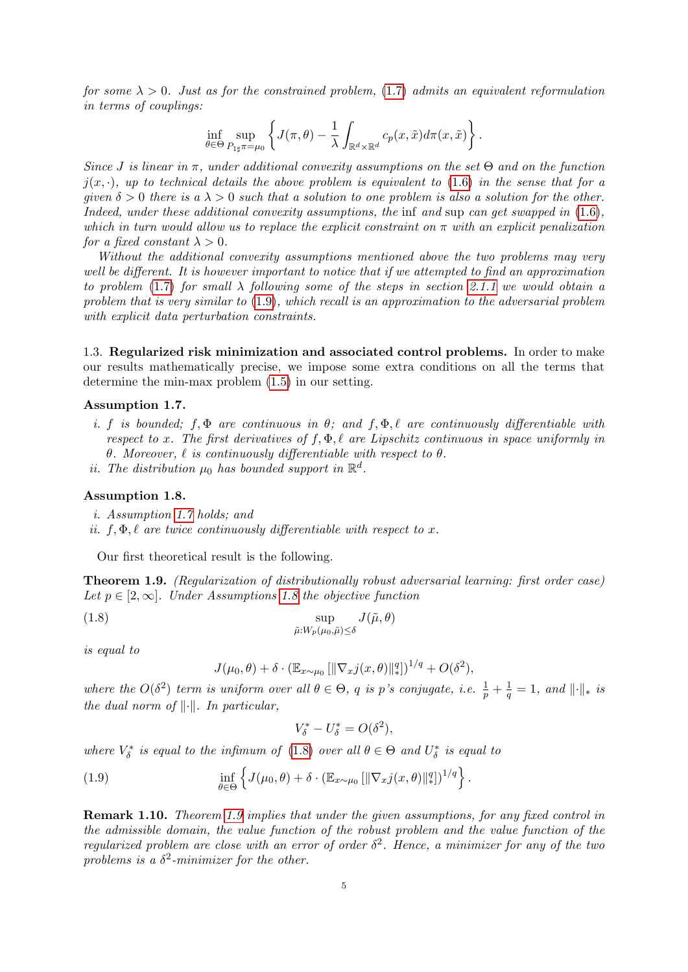for some  $\lambda > 0$ . Just as for the constrained problem, [\(1.7\)](#page-3-1) admits an equivalent reformulation in terms of couplings:

$$
\inf_{\theta \in \Theta} \sup_{P_{1\sharp}\pi = \mu_0} \left\{ J(\pi, \theta) - \frac{1}{\lambda} \int_{\mathbb{R}^d \times \mathbb{R}^d} c_p(x, \tilde{x}) d\pi(x, \tilde{x}) \right\}.
$$

Since J is linear in  $\pi$ , under additional convexity assumptions on the set  $\Theta$  and on the function  $j(x, \cdot)$ , up to technical details the above problem is equivalent to [\(1.6\)](#page-3-2) in the sense that for a given  $\delta > 0$  there is a  $\lambda > 0$  such that a solution to one problem is also a solution for the other. Indeed, under these additional convexity assumptions, the inf and sup can get swapped in  $(1.6)$ , which in turn would allow us to replace the explicit constraint on  $\pi$  with an explicit penalization for a fixed constant  $\lambda > 0$ .

Without the additional convexity assumptions mentioned above the two problems may very well be different. It is however important to notice that if we attempted to find an approximation to problem [\(1.7\)](#page-3-1) for small  $\lambda$  following some of the steps in section [2.1.1](#page-13-0) we would obtain a problem that is very similar to [\(1.9\)](#page-4-1), which recall is an approximation to the adversarial problem with explicit data perturbation constraints.

<span id="page-4-0"></span>1.3. Regularized risk minimization and associated control problems. In order to make our results mathematically precise, we impose some extra conditions on all the terms that determine the min-max problem [\(1.5\)](#page-3-0) in our setting.

## Assumption 1.7.

- i. f is bounded; f,  $\Phi$  are continuous in  $\theta$ ; and f,  $\Phi$ ,  $\ell$  are continuously differentiable with respect to x. The first derivatives of  $f, \Phi, \ell$  are Lipschitz continuous in space uniformly in θ. Moreover,  $\ell$  is continuously differentiable with respect to θ.
- <span id="page-4-2"></span>ii. The distribution  $\mu_0$  has bounded support in  $\mathbb{R}^d$ .

## Assumption 1.8.

i. Assumption [1.7](#page-4-2) holds; and

<span id="page-4-3"></span>ii.  $f, \Phi, \ell$  are twice continuously differentiable with respect to x.

Our first theoretical result is the following.

<span id="page-4-5"></span>Theorem 1.9. (Regularization of distributionally robust adversarial learning: first order case) Let  $p \in [2,\infty]$ . Under Assumptions [1.8](#page-4-3) the objective function

(1.8) 
$$
\sup_{\tilde{\mu}:W_p(\mu_0,\tilde{\mu})\leq\delta}J(\tilde{\mu},\theta)
$$

is equal to

<span id="page-4-4"></span>
$$
J(\mu_0, \theta) + \delta \cdot (\mathbb{E}_{x \sim \mu_0} \left[ \|\nabla_x j(x, \theta)\|_{*}^q \right])^{1/q} + O(\delta^2),
$$

where the  $O(\delta^2)$  term is uniform over all  $\theta \in \Theta$ , q is p's conjugate, i.e.  $\frac{1}{p} + \frac{1}{q}$  $\frac{1}{q} = 1$ , and  $\lVert \cdot \rVert_*$  is the dual norm of  $\|\cdot\|$ . In particular,

<span id="page-4-1"></span>
$$
V_{\delta}^* - U_{\delta}^* = O(\delta^2),
$$

where  $V_{\delta}^*$  is equal to the infimum of [\(1.8\)](#page-4-4) over all  $\theta \in \Theta$  and  $U_{\delta}^*$  is equal to

(1.9) 
$$
\inf_{\theta \in \Theta} \left\{ J(\mu_0, \theta) + \delta \cdot (\mathbb{E}_{x \sim \mu_0} \left[ \|\nabla_x j(x, \theta)\|_{*}^q \right])^{1/q} \right\}.
$$

Remark 1.10. Theorem [1.9](#page-4-5) implies that under the given assumptions, for any fixed control in the admissible domain, the value function of the robust problem and the value function of the regularized problem are close with an error of order  $\delta^2$ . Hence, a minimizer for any of the two problems is a  $\delta^2$ -minimizer for the other.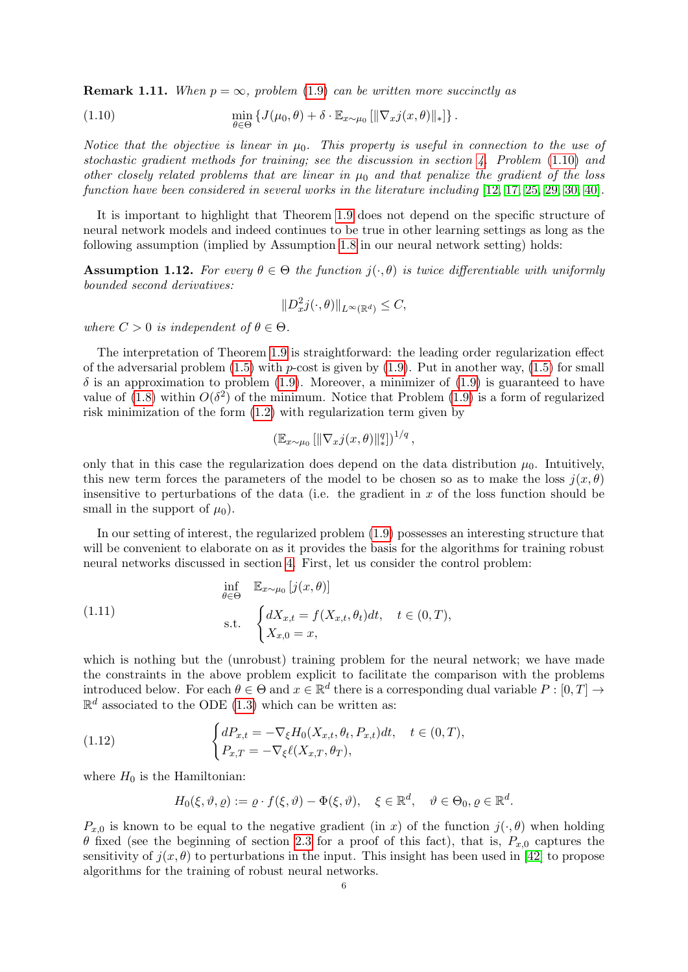**Remark 1.11.** When  $p = \infty$ , problem [\(1.9\)](#page-4-1) can be written more succinctly as

<span id="page-5-0"></span>(1.10) 
$$
\min_{\theta \in \Theta} \left\{ J(\mu_0, \theta) + \delta \cdot \mathbb{E}_{x \sim \mu_0} \left[ \|\nabla_x j(x, \theta)\|_* \right] \right\}.
$$

Notice that the objective is linear in  $\mu_0$ . This property is useful in connection to the use of stochastic gradient methods for training; see the discussion in section [4.](#page-22-0) Problem [\(1.10\)](#page-5-0) and other closely related problems that are linear in  $\mu_0$  and that penalize the gradient of the loss function have been considered in several works in the literature including [\[12,](#page-27-8) [17,](#page-27-5) [25,](#page-28-0) [29,](#page-28-2) [30,](#page-28-3) [40\]](#page-28-4).

It is important to highlight that Theorem [1.9](#page-4-5) does not depend on the specific structure of neural network models and indeed continues to be true in other learning settings as long as the following assumption (implied by Assumption [1.8](#page-4-3) in our neural network setting) holds:

<span id="page-5-1"></span>Assumption 1.12. For every  $\theta \in \Theta$  the function  $j(\cdot, \theta)$  is twice differentiable with uniformly bounded second derivatives:

$$
||D_x^2 j(\cdot,\theta)||_{L^\infty(\mathbb{R}^d)} \leq C,
$$

where  $C > 0$  is independent of  $\theta \in \Theta$ .

The interpretation of Theorem [1.9](#page-4-5) is straightforward: the leading order regularization effect of the adversarial problem  $(1.5)$  with p-cost is given by  $(1.9)$ . Put in another way,  $(1.5)$  for small  $\delta$  is an approximation to problem [\(1.9\)](#page-4-1). Moreover, a minimizer of (1.9) is guaranteed to have value of [\(1.8\)](#page-4-4) within  $O(\delta^2)$  of the minimum. Notice that Problem [\(1.9\)](#page-4-1) is a form of regularized risk minimization of the form [\(1.2\)](#page-0-1) with regularization term given by

$$
\left(\mathbb{E}_{x \sim \mu_0} \left[ \|\nabla_x j(x,\theta)\|_{*}^q \right] \right)^{1/q},
$$

only that in this case the regularization does depend on the data distribution  $\mu_0$ . Intuitively, this new term forces the parameters of the model to be chosen so as to make the loss  $i(x, \theta)$ insensitive to perturbations of the data (i.e. the gradient in  $x$  of the loss function should be small in the support of  $\mu_0$ ).

In our setting of interest, the regularized problem [\(1.9\)](#page-4-1) possesses an interesting structure that will be convenient to elaborate on as it provides the basis for the algorithms for training robust neural networks discussed in section [4.](#page-22-0) First, let us consider the control problem:

<span id="page-5-2"></span>(1.11) 
$$
\inf_{\theta \in \Theta} \mathbb{E}_{x \sim \mu_0} [j(x, \theta)]
$$
  
 s.t. 
$$
\begin{cases} dX_{x,t} = f(X_{x,t}, \theta_t)dt, & t \in (0, T), \\ X_{x,0} = x, \end{cases}
$$

which is nothing but the (unrobust) training problem for the neural network; we have made the constraints in the above problem explicit to facilitate the comparison with the problems introduced below. For each  $\theta \in \Theta$  and  $x \in \mathbb{R}^d$  there is a corresponding dual variable  $P: [0, T] \to$  $\mathbb{R}^d$  associated to the ODE [\(1.3\)](#page-1-0) which can be written as:

(1.12) 
$$
\begin{cases} dP_{x,t} = -\nabla_{\xi}H_0(X_{x,t}, \theta_t, P_{x,t})dt, & t \in (0, T), \\ P_{x,T} = -\nabla_{\xi}\ell(X_{x,T}, \theta_T), \end{cases}
$$

where  $H_0$  is the Hamiltonian:

$$
H_0(\xi, \vartheta, \varrho) := \varrho \cdot f(\xi, \vartheta) - \Phi(\xi, \vartheta), \quad \xi \in \mathbb{R}^d, \quad \vartheta \in \Theta_0, \varrho \in \mathbb{R}^d.
$$

 $P_{x,0}$  is known to be equal to the negative gradient (in x) of the function  $j(\cdot,\theta)$  when holding θ fixed (see the beginning of section [2.3](#page-17-0) for a proof of this fact), that is,  $P_{x,0}$  captures the sensitivity of  $j(x, \theta)$  to perturbations in the input. This insight has been used in [\[42\]](#page-28-7) to propose algorithms for the training of robust neural networks.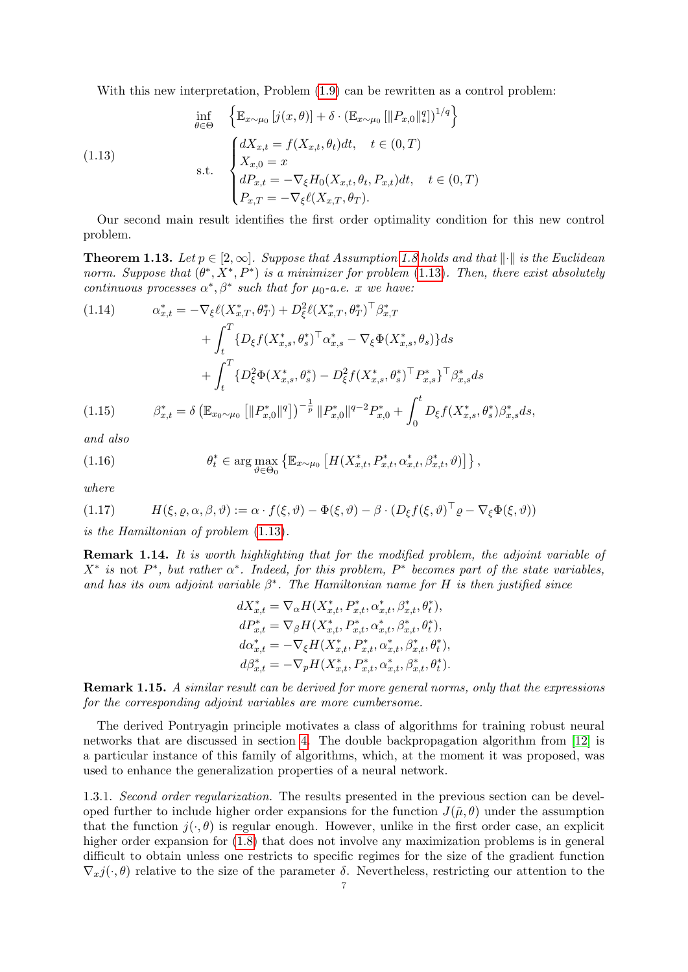<span id="page-6-0"></span>With this new interpretation, Problem  $(1.9)$  can be rewritten as a control problem:

(1.13)  
\n
$$
\begin{aligned}\n\inf_{\theta \in \Theta} & \quad \left\{ \mathbb{E}_{x \sim \mu_0} \left[ j(x, \theta) \right] + \delta \cdot (\mathbb{E}_{x \sim \mu_0} \left[ \| P_{x,0} \|_{*}^{q} \right] \right\}^{1/q} \right\} \\
\text{s.t.} & \quad \begin{cases}\n dX_{x,t} = f(X_{x,t}, \theta_t) dt, & t \in (0, T) \\
 X_{x,0} = x \\
 dP_{x,t} = -\nabla_{\xi} H_0(X_{x,t}, \theta_t, P_{x,t}) dt, & t \in (0, T) \\
 P_{x,T} = -\nabla_{\xi} \ell(X_{x,T}, \theta_T).\n\end{cases}\n\end{aligned}
$$

Our second main result identifies the first order optimality condition for this new control problem.

**Theorem 1.13.** Let  $p \in [2, \infty]$ . Suppose that Assumption [1.8](#page-4-3) holds and that  $\|\cdot\|$  is the Euclidean norm. Suppose that  $(\theta^*, X^*, P^*)$  is a minimizer for problem [\(1.13\)](#page-6-0). Then, there exist absolutely continuous processes  $\alpha^*, \beta^*$  such that for  $\mu_0$ -a.e. x we have:

<span id="page-6-6"></span>(1.14) 
$$
\alpha_{x,t}^{*} = -\nabla_{\xi} \ell(X_{x,T}^{*}, \theta_{T}^{*}) + D_{\xi}^{2} \ell(X_{x,T}^{*}, \theta_{T}^{*})^{\top} \beta_{x,T}^{*} + \int_{t}^{T} \{D_{\xi} f(X_{x,s}^{*}, \theta_{s}^{*})^{\top} \alpha_{x,s}^{*} - \nabla_{\xi} \Phi(X_{x,s}^{*}, \theta_{s})\} ds + \int_{t}^{T} \{D_{\xi}^{2} \Phi(X_{x,s}^{*}, \theta_{s}^{*}) - D_{\xi}^{2} f(X_{x,s}^{*}, \theta_{s}^{*})^{\top} P_{x,s}^{*}\}^{\top} \beta_{x,s}^{*} ds (1.15) \qquad \beta_{x,t}^{*} = \delta \left(\mathbb{E}_{x_{0} \sim \mu_{0}} \left[ \|\mathbf{P}_{x,0}^{*}\|^{q} \right] \right)^{-\frac{1}{p}} \|\mathbf{P}_{x,0}^{*}\|^{q-2} P_{x,0}^{*} + \int_{0}^{t} D_{\xi} f(X_{x,s}^{*}, \theta_{s}^{*}) \beta_{x,s}^{*} ds,
$$

<span id="page-6-5"></span>and also

<span id="page-6-4"></span>(1.16) 
$$
\theta_t^* \in \arg \max_{\vartheta \in \Theta_0} \left\{ \mathbb{E}_{x \sim \mu_0} \left[ H(X_{x,t}^*, P_{x,t}^*, \alpha_{x,t}^*, \beta_{x,t}^*, \vartheta) \right] \right\},
$$

where

<span id="page-6-2"></span>(1.17) 
$$
H(\xi, \varrho, \alpha, \beta, \vartheta) := \alpha \cdot f(\xi, \vartheta) - \Phi(\xi, \vartheta) - \beta \cdot (D_{\xi}f(\xi, \vartheta)^{\top} \varrho - \nabla_{\xi} \Phi(\xi, \vartheta))
$$

is the Hamiltonian of problem [\(1.13\)](#page-6-0).

Remark 1.14. It is worth highlighting that for the modified problem, the adjoint variable of  $X^*$  is not  $P^*$ , but rather  $\alpha^*$ . Indeed, for this problem,  $P^*$  becomes part of the state variables, and has its own adjoint variable  $\beta^*$ . The Hamiltonian name for H is then justified since

$$
dX_{x,t}^{*} = \nabla_{\alpha} H(X_{x,t}^{*}, P_{x,t}^{*}, \alpha_{x,t}^{*}, \beta_{x,t}^{*}, \theta_{t}^{*}),
$$
  
\n
$$
dP_{x,t}^{*} = \nabla_{\beta} H(X_{x,t}^{*}, P_{x,t}^{*}, \alpha_{x,t}^{*}, \beta_{x,t}^{*}, \theta_{t}^{*}),
$$
  
\n
$$
d\alpha_{x,t}^{*} = -\nabla_{\xi} H(X_{x,t}^{*}, P_{x,t}^{*}, \alpha_{x,t}^{*}, \beta_{x,t}^{*}, \theta_{t}^{*}),
$$
  
\n
$$
d\beta_{x,t}^{*} = -\nabla_{p} H(X_{x,t}^{*}, P_{x,t}^{*}, \alpha_{x,t}^{*}, \beta_{x,t}^{*}, \theta_{t}^{*}).
$$

<span id="page-6-1"></span>Remark 1.15. A similar result can be derived for more general norms, only that the expressions for the corresponding adjoint variables are more cumbersome.

The derived Pontryagin principle motivates a class of algorithms for training robust neural networks that are discussed in section [4.](#page-22-0) The double backpropagation algorithm from [\[12\]](#page-27-8) is a particular instance of this family of algorithms, which, at the moment it was proposed, was used to enhance the generalization properties of a neural network.

<span id="page-6-3"></span>1.3.1. Second order regularization. The results presented in the previous section can be developed further to include higher order expansions for the function  $J(\tilde{\mu}, \theta)$  under the assumption that the function  $j(\cdot, \theta)$  is regular enough. However, unlike in the first order case, an explicit higher order expansion for  $(1.8)$  that does not involve any maximization problems is in general difficult to obtain unless one restricts to specific regimes for the size of the gradient function  $\nabla_x j(\cdot, \theta)$  relative to the size of the parameter  $\delta$ . Nevertheless, restricting our attention to the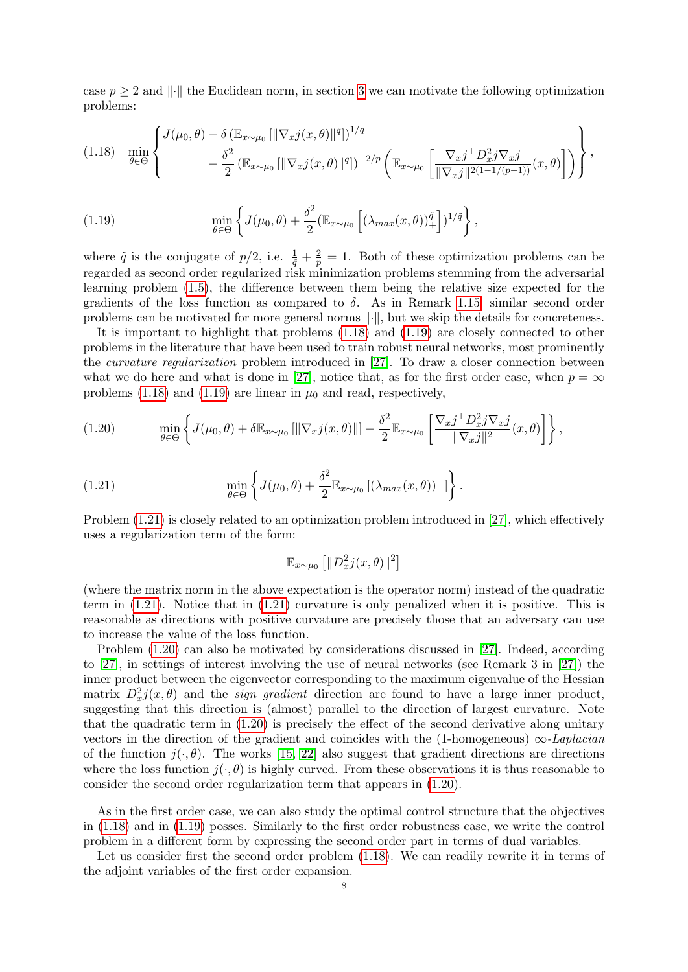case  $p > 2$  and  $\|\cdot\|$  the Euclidean norm, in section [3](#page-19-0) we can motivate the following optimization problems:

<span id="page-7-0"></span>
$$
(1.18)\quad \min_{\theta \in \Theta} \left\{\n\begin{array}{l}\nJ(\mu_0, \theta) + \delta \left( \mathbb{E}_{x \sim \mu_0} \left[ \|\nabla_x j(x, \theta)\|^q \right] \right)^{1/q} \\
+ \frac{\delta^2}{2} \left( \mathbb{E}_{x \sim \mu_0} \left[ \|\nabla_x j(x, \theta)\|^q \right] \right)^{-2/p} \left( \mathbb{E}_{x \sim \mu_0} \left[ \frac{\nabla_x j^\top D_x^2 j \nabla_x j}{\|\nabla_x j\|^2 (1 - 1/(p - 1))} (x, \theta) \right] \right)\n\end{array}\n\right\},
$$

<span id="page-7-1"></span>(1.19) 
$$
\min_{\theta \in \Theta} \left\{ J(\mu_0, \theta) + \frac{\delta^2}{2} (\mathbb{E}_{x \sim \mu_0} \left[ (\lambda_{max}(x, \theta))_+^{\tilde{q}} \right])^{1/\tilde{q}} \right\},
$$

where  $\tilde{q}$  is the conjugate of  $p/2$ , i.e.  $\frac{1}{\tilde{q}} + \frac{2}{p} = 1$ . Both of these optimization problems can be regarded as second order regularized risk minimization problems stemming from the adversarial learning problem [\(1.5\)](#page-3-0), the difference between them being the relative size expected for the gradients of the loss function as compared to  $\delta$ . As in Remark [1.15,](#page-6-1) similar second order problems can be motivated for more general norms  $\|\cdot\|$ , but we skip the details for concreteness.

It is important to highlight that problems [\(1.18\)](#page-7-0) and [\(1.19\)](#page-7-1) are closely connected to other problems in the literature that have been used to train robust neural networks, most prominently the curvature regularization problem introduced in [\[27\]](#page-28-1). To draw a closer connection between what we do here and what is done in [\[27\]](#page-28-1), notice that, as for the first order case, when  $p = \infty$ problems [\(1.18\)](#page-7-0) and [\(1.19\)](#page-7-1) are linear in  $\mu_0$  and read, respectively,

<span id="page-7-3"></span>(1.20) 
$$
\min_{\theta \in \Theta} \left\{ J(\mu_0, \theta) + \delta \mathbb{E}_{x \sim \mu_0} \left[ \|\nabla_x j(x, \theta)\| \right] + \frac{\delta^2}{2} \mathbb{E}_{x \sim \mu_0} \left[ \frac{\nabla_x j^\top D_x^2 j \nabla_x j}{\|\nabla_x j\|^2} (x, \theta) \right] \right\},
$$

(1.21) 
$$
\min_{\theta \in \Theta} \left\{ J(\mu_0, \theta) + \frac{\delta^2}{2} \mathbb{E}_{x \sim \mu_0} \left[ (\lambda_{max}(x, \theta))_+ \right] \right\}.
$$

Problem [\(1.21\)](#page-7-2) is closely related to an optimization problem introduced in [\[27\]](#page-28-1), which effectively uses a regularization term of the form:

<span id="page-7-2"></span>
$$
\mathbb{E}_{x \sim \mu_0} \left[ \lVert D_x^2 j(x, \theta) \rVert^2 \right]
$$

(where the matrix norm in the above expectation is the operator norm) instead of the quadratic term in [\(1.21\)](#page-7-2). Notice that in [\(1.21\)](#page-7-2) curvature is only penalized when it is positive. This is reasonable as directions with positive curvature are precisely those that an adversary can use to increase the value of the loss function.

Problem [\(1.20\)](#page-7-3) can also be motivated by considerations discussed in [\[27\]](#page-28-1). Indeed, according to [\[27\]](#page-28-1), in settings of interest involving the use of neural networks (see Remark 3 in [\[27\]](#page-28-1)) the inner product between the eigenvector corresponding to the maximum eigenvalue of the Hessian matrix  $D_x^2 j(x, \theta)$  and the *sign gradient* direction are found to have a large inner product, suggesting that this direction is (almost) parallel to the direction of largest curvature. Note that the quadratic term in [\(1.20\)](#page-7-3) is precisely the effect of the second derivative along unitary vectors in the direction of the gradient and coincides with the (1-homogeneous)  $\infty$ -Laplacian of the function  $j(\cdot,\theta)$ . The works [\[15,](#page-27-10) [22\]](#page-27-11) also suggest that gradient directions are directions where the loss function  $j(\cdot, \theta)$  is highly curved. From these observations it is thus reasonable to consider the second order regularization term that appears in [\(1.20\)](#page-7-3).

As in the first order case, we can also study the optimal control structure that the objectives in [\(1.18\)](#page-7-0) and in [\(1.19\)](#page-7-1) posses. Similarly to the first order robustness case, we write the control problem in a different form by expressing the second order part in terms of dual variables.

Let us consider first the second order problem [\(1.18\)](#page-7-0). We can readily rewrite it in terms of the adjoint variables of the first order expansion.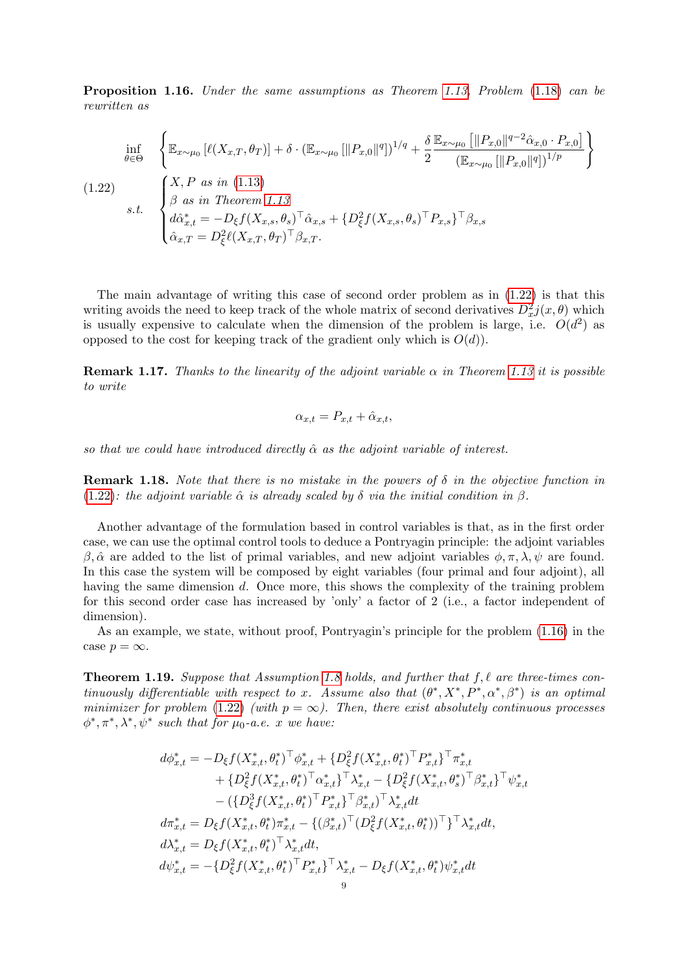Proposition 1.16. Under the same assumptions as Theorem [1.13,](#page-6-2) Problem [\(1.18\)](#page-7-0) can be rewritten as

<span id="page-8-0"></span>
$$
\inf_{\theta \in \Theta} \left\{ \mathbb{E}_{x \sim \mu_0} \left[ \ell(X_{x,T}, \theta_T) \right] + \delta \cdot (\mathbb{E}_{x \sim \mu_0} \left[ \|P_{x,0}\|^q \right])^{1/q} + \frac{\delta}{2} \frac{\mathbb{E}_{x \sim \mu_0} \left[ \|P_{x,0}\|^{q-2} \hat{\alpha}_{x,0} \cdot P_{x,0} \right]}{(\mathbb{E}_{x \sim \mu_0} \left[ \|P_{x,0}\|^q \right])^{1/p}} \right\}
$$
\n
$$
(1.22)
$$
\n
$$
s.t. \quad \begin{cases} X, P \text{ as in (1.13)} \\ \beta \text{ as in Theorem 1.13} \\ d\hat{\alpha}_{x,t}^* = -D_{\xi} f(X_{x,s}, \theta_s)^\top \hat{\alpha}_{x,s} + \{D_{\xi}^2 f(X_{x,s}, \theta_s)^\top P_{x,s}\}^\top \beta_{x,s} \\ \hat{\alpha}_{x,T} = D_{\xi}^2 \ell(X_{x,T}, \theta_T)^\top \beta_{x,T}. \end{cases}
$$

The main advantage of writing this case of second order problem as in [\(1.22\)](#page-8-0) is that this writing avoids the need to keep track of the whole matrix of second derivatives  $D_x^2 j(x, \theta)$  which is usually expensive to calculate when the dimension of the problem is large, i.e.  $O(d^2)$  as opposed to the cost for keeping track of the gradient only which is  $O(d)$ .

**Remark 1.17.** Thanks to the linearity of the adjoint variable  $\alpha$  in Theorem [1.13](#page-6-2) it is possible to write

$$
\alpha_{x,t} = P_{x,t} + \hat{\alpha}_{x,t},
$$

so that we could have introduced directly  $\hat{\alpha}$  as the adjoint variable of interest.

**Remark 1.18.** Note that there is no mistake in the powers of  $\delta$  in the objective function in [\(1.22\)](#page-8-0): the adjoint variable  $\hat{\alpha}$  is already scaled by  $\delta$  via the initial condition in  $\beta$ .

Another advantage of the formulation based in control variables is that, as in the first order case, we can use the optimal control tools to deduce a Pontryagin principle: the adjoint variables β, α̂ are added to the list of primal variables, and new adjoint variables  $\phi$ , π, λ,  $\psi$  are found. In this case the system will be composed by eight variables (four primal and four adjoint), all having the same dimension d. Once more, this shows the complexity of the training problem for this second order case has increased by 'only' a factor of 2 (i.e., a factor independent of dimension).

As an example, we state, without proof, Pontryagin's principle for the problem [\(1.16\)](#page-8-0) in the case  $p = \infty$ .

**Theorem 1.19.** Suppose that Assumption [1.8](#page-4-3) holds, and further that  $f, \ell$  are three-times continuously differentiable with respect to x. Assume also that  $(\theta^*, X^*, P^*, \alpha^*, \beta^*)$  is an optimal minimizer for problem [\(1.22\)](#page-8-0) (with  $p = \infty$ ). Then, there exist absolutely continuous processes  $\phi^*, \pi^*, \lambda^*, \psi^*$  such that for  $\mu_0$ -a.e. x we have:

$$
d\phi_{x,t}^{*} = -D_{\xi}f(X_{x,t}^{*}, \theta_{t}^{*})^{\top} \phi_{x,t}^{*} + \{D_{\xi}^{2}f(X_{x,t}^{*}, \theta_{t}^{*})^{\top} P_{x,t}^{*}\}^{\top} \pi_{x,t}^{*} + \{D_{\xi}^{2}f(X_{x,t}^{*}, \theta_{t}^{*})^{\top} \alpha_{x,t}^{*}\}^{\top} \lambda_{x,t}^{*} - \{D_{\xi}^{2}f(X_{x,t}^{*}, \theta_{s}^{*})^{\top} \beta_{x,t}^{*}\}^{\top} \psi_{x,t}^{*} - (\{D_{\xi}^{3}f(X_{x,t}^{*}, \theta_{t}^{*})^{\top} P_{x,t}^{*}\}^{\top} \beta_{x,t}^{*})^{\top} \lambda_{x,t}^{*} dt d\pi_{x,t}^{*} = D_{\xi}f(X_{x,t}^{*}, \theta_{t}^{*})\pi_{x,t}^{*} - \{(\beta_{x,t}^{*})^{\top} (D_{\xi}^{2}f(X_{x,t}^{*}, \theta_{t}^{*}))^{\top}\}^{\top} \lambda_{x,t}^{*} dt d\lambda_{x,t}^{*} = D_{\xi}f(X_{x,t}^{*}, \theta_{t}^{*})^{\top} \lambda_{x,t}^{*} dt d\psi_{x,t}^{*} = -\{D_{\xi}^{2}f(X_{x,t}^{*}, \theta_{t}^{*})^{\top} P_{x,t}^{*}\}^{\top} \lambda_{x,t}^{*} - D_{\xi}f(X_{x,t}^{*}, \theta_{t}^{*}) \psi_{x,t}^{*} dt
$$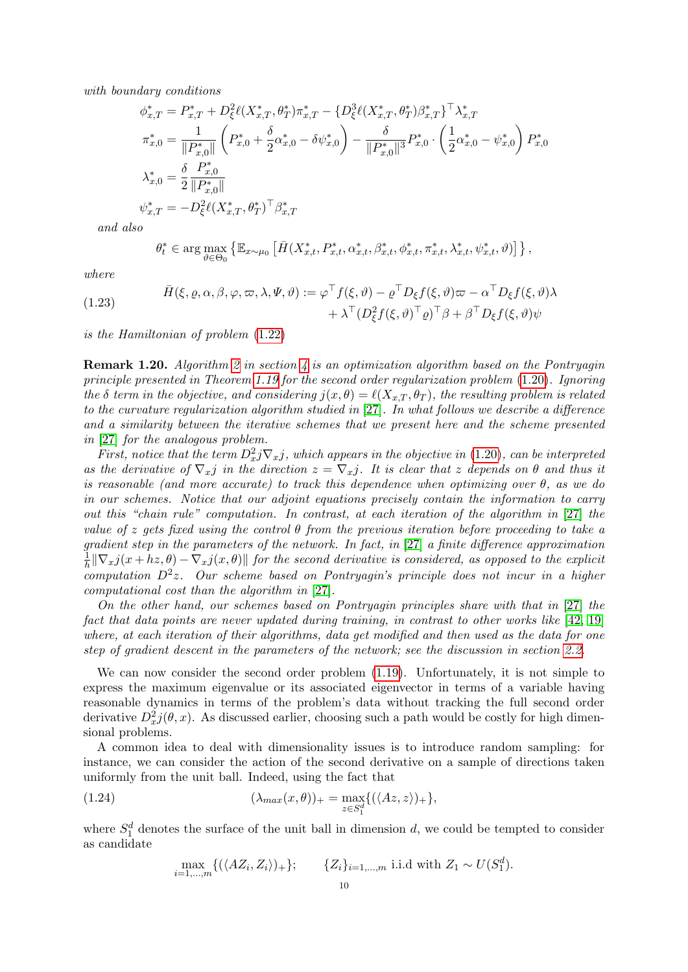with boundary conditions

$$
\phi_{x,T}^{*} = P_{x,T}^{*} + D_{\xi}^{2} \ell(X_{x,T}^{*}, \theta_{T}^{*}) \pi_{x,T}^{*} - \{D_{\xi}^{3} \ell(X_{x,T}^{*}, \theta_{T}^{*}) \beta_{x,T}^{*}\}^{\top} \lambda_{x,T}^{*}
$$
\n
$$
\pi_{x,0}^{*} = \frac{1}{\|P_{x,0}^{*}\|} \left(P_{x,0}^{*} + \frac{\delta}{2} \alpha_{x,0}^{*} - \delta \psi_{x,0}^{*}\right) - \frac{\delta}{\|P_{x,0}^{*}\|^{3}} P_{x,0}^{*} \cdot \left(\frac{1}{2} \alpha_{x,0}^{*} - \psi_{x,0}^{*}\right) P_{x,0}^{*}
$$
\n
$$
\lambda_{x,0}^{*} = \frac{\delta}{2} \frac{P_{x,0}^{*}}{\|P_{x,0}^{*}\|}
$$
\n
$$
\psi_{x,T}^{*} = -D_{\xi}^{2} \ell(X_{x,T}^{*}, \theta_{T}^{*})^{\top} \beta_{x,T}^{*}
$$

and also

$$
\theta_t^* \in \arg\max_{\vartheta \in \Theta_0} \left\{ \mathbb{E}_{x \sim \mu_0} \left[ \bar{H}(X_{x,t}^*, P_{x,t}^*, \alpha_{x,t}^*, \beta_{x,t}^*, \phi_{x,t}^*, \pi_{x,t}^*, \lambda_{x,t}^*, \psi_{x,t}^*, \vartheta) \right] \right\},
$$

where

<span id="page-9-0"></span>(1.23) 
$$
\bar{H}(\xi, \varrho, \alpha, \beta, \varphi, \varpi, \lambda, \Psi, \vartheta) := \varphi^{\top} f(\xi, \vartheta) - \varrho^{\top} D_{\xi} f(\xi, \vartheta) \varpi - \alpha^{\top} D_{\xi} f(\xi, \vartheta) \lambda \n+ \lambda^{\top} (D_{\xi}^{2} f(\xi, \vartheta)^{\top} \varrho)^{\top} \beta + \beta^{\top} D_{\xi} f(\xi, \vartheta) \psi
$$

is the Hamiltonian of problem [\(1.22\)](#page-8-0)

**Remark 1.20.** Algorithm [2](#page-24-0) in section [4](#page-22-0) is an optimization algorithm based on the Pontryagin principle presented in Theorem [1.19](#page-9-0) for the second order regularization problem [\(1.20\)](#page-7-3). Ignoring the  $\delta$  term in the objective, and considering  $j(x, \theta) = \ell(X_{x,T} , \theta_T)$ , the resulting problem is related to the curvature regularization algorithm studied in [\[27\]](#page-28-1). In what follows we describe a difference and a similarity between the iterative schemes that we present here and the scheme presented in [\[27\]](#page-28-1) for the analogous problem.

First, notice that the term  $D_x^2 j \nabla_x j$ , which appears in the objective in [\(1.20\)](#page-7-3), can be interpreted as the derivative of  $\nabla_x j$  in the direction  $z = \nabla_x j$ . It is clear that z depends on  $\theta$  and thus it is reasonable (and more accurate) to track this dependence when optimizing over  $\theta$ , as we do in our schemes. Notice that our adjoint equations precisely contain the information to carry out this "chain rule" computation. In contrast, at each iteration of the algorithm in [\[27\]](#page-28-1) the value of z gets fixed using the control  $\theta$  from the previous iteration before proceeding to take a gradient step in the parameters of the network. In fact, in [\[27\]](#page-28-1) a finite difference approximation 1  $\frac{1}{h} \|\nabla_x j(x + hz, \theta) - \nabla_x j(x, \theta)\|$  for the second derivative is considered, as opposed to the explicit  $computation D<sup>2</sup>z$ . Our scheme based on Pontryagin's principle does not incur in a higher computational cost than the algorithm in [\[27\]](#page-28-1).

On the other hand, our schemes based on Pontryagin principles share with that in [\[27\]](#page-28-1) the fact that data points are never updated during training, in contrast to other works like [\[42,](#page-28-7) [19\]](#page-27-12) where, at each iteration of their algorithms, data get modified and then used as the data for one step of gradient descent in the parameters of the network; see the discussion in section [2.2.](#page-16-0)

We can now consider the second order problem  $(1.19)$ . Unfortunately, it is not simple to express the maximum eigenvalue or its associated eigenvector in terms of a variable having reasonable dynamics in terms of the problem's data without tracking the full second order derivative  $D_x^2 j(\theta, x)$ . As discussed earlier, choosing such a path would be costly for high dimensional problems.

A common idea to deal with dimensionality issues is to introduce random sampling: for instance, we can consider the action of the second derivative on a sample of directions taken uniformly from the unit ball. Indeed, using the fact that

(1.24) 
$$
(\lambda_{max}(x,\theta))_{+} = \max_{z \in S_1^d} \{ (\langle Az, z \rangle)_{+} \},
$$

where  $S_1^d$  denotes the surface of the unit ball in dimension d, we could be tempted to consider as candidate

<span id="page-9-1"></span>
$$
\max_{i=1,\dots,m} \{ (\langle AZ_i, Z_i \rangle)_+ \}; \qquad \{ Z_i \}_{i=1,\dots,m} \text{ i.i.d with } Z_1 \sim U(S_1^d).
$$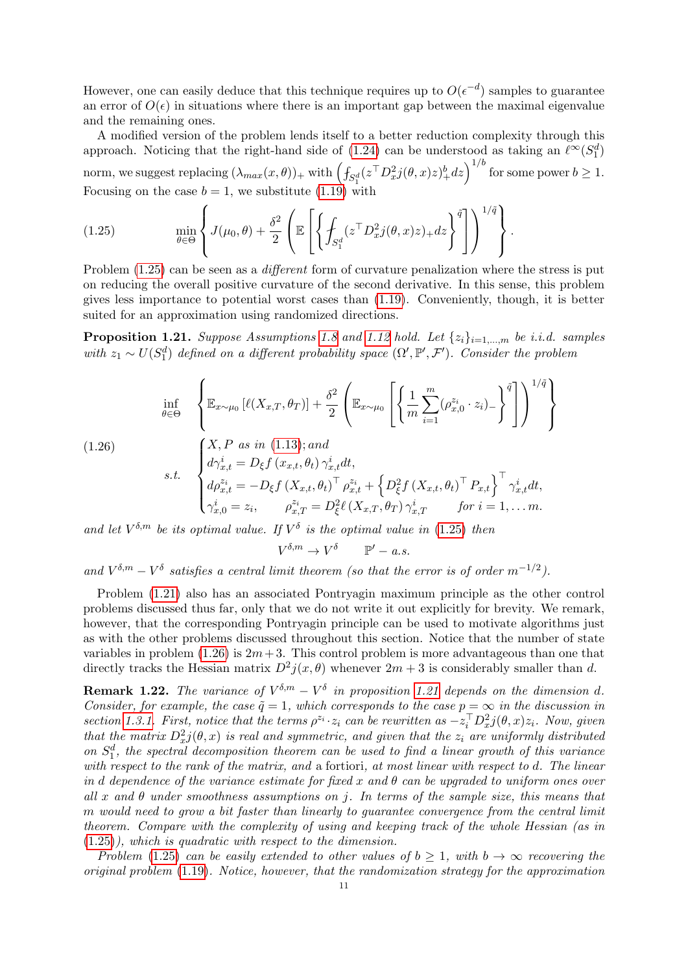However, one can easily deduce that this technique requires up to  $O(\epsilon^{-d})$  samples to guarantee an error of  $O(\epsilon)$  in situations where there is an important gap between the maximal eigenvalue and the remaining ones.

A modified version of the problem lends itself to a better reduction complexity through this approach. Noticing that the right-hand side of [\(1.24\)](#page-9-1) can be understood as taking an  $\ell^{\infty}(S_1^d)$ norm, we suggest replacing  $(\lambda_{max}(x, \theta))_+$  with  $\left( \int_{S_1^d} (z^{\top} D_x^2 j(\theta, x) z)_+^b dz \right)^{1/b}$  for some power  $b \ge 1$ . Focusing on the case  $b = 1$ , we substitute [\(1.19\)](#page-7-1) with

<span id="page-10-0"></span>(1.25) 
$$
\min_{\theta \in \Theta} \left\{ J(\mu_0, \theta) + \frac{\delta^2}{2} \left( \mathbb{E} \left[ \left\{ \int_{S_1^d} (z^\top D_x^2 j(\theta, x) z)_+ dz \right\}^{\tilde{q}} \right] \right)^{1/\tilde{q}} \right\}.
$$

Problem  $(1.25)$  can be seen as a *different* form of curvature penalization where the stress is put on reducing the overall positive curvature of the second derivative. In this sense, this problem gives less importance to potential worst cases than [\(1.19\)](#page-7-1). Conveniently, though, it is better suited for an approximation using randomized directions.

**Proposition 1.21.** Suppose Assumptions [1.8](#page-4-3) and [1.12](#page-5-1) hold. Let  $\{z_i\}_{i=1,\dots,m}$  be i.i.d. samples with  $z_1 \sim U(S_1^d)$  defined on a different probability space  $(\Omega', \mathbb{P}', \mathcal{F}')$ . Consider the problem

<span id="page-10-1"></span>(1.26)  
\n
$$
\begin{aligned}\n\inf_{\theta \in \Theta} & \left\{ \mathbb{E}_{x \sim \mu_0} \left[ \ell(X_{x,T}, \theta_T) \right] + \frac{\delta^2}{2} \left( \mathbb{E}_{x \sim \mu_0} \left[ \left\{ \frac{1}{m} \sum_{i=1}^m (\rho_{x,0}^{z_i} \cdot z_i)_{-} \right\}^{\tilde{q}} \right] \right)^{1/\tilde{q}} \right\} \\
(1.26) & \qquad \left\{ \begin{aligned}\nX, P \text{ as in (1.13); and} \\
d\gamma_{x,t}^i &= D_{\xi} f(x_{x,t}, \theta_t) \gamma_{x,t}^i dt, \\
d\rho_{x,t}^{z_i} &= -D_{\xi} f(X_{x,t}, \theta_t)^\top \rho_{x,t}^{z_i} + \left\{ D_{\xi}^2 f(X_{x,t}, \theta_t)^\top P_{x,t} \right\}^\top \gamma_{x,t}^i dt, \\
\gamma_{x,0}^i &= z_i, \qquad \rho_{x,T}^{z_i} = D_{\xi}^2 \ell(X_{x,T}, \theta_T) \gamma_{x,T}^i \qquad \text{for } i = 1, \dots m.\n\end{aligned}\n\right.
$$

and let  $V^{\delta,m}$  be its optimal value. If  $V^{\delta}$  is the optimal value in [\(1.25\)](#page-10-0) then

 $V^{\delta,m} \to V^\delta \qquad \mathbb{P}' - a.s.$ 

and  $V^{\delta,m} - V^{\delta}$  satisfies a central limit theorem (so that the error is of order  $m^{-1/2}$ ).

Problem [\(1.21\)](#page-10-1) also has an associated Pontryagin maximum principle as the other control problems discussed thus far, only that we do not write it out explicitly for brevity. We remark, however, that the corresponding Pontryagin principle can be used to motivate algorithms just as with the other problems discussed throughout this section. Notice that the number of state variables in problem [\(1.26\)](#page-10-1) is  $2m+3$ . This control problem is more advantageous than one that directly tracks the Hessian matrix  $D^2 j(x, \theta)$  whenever  $2m + 3$  is considerably smaller than d.

**Remark 1.22.** The variance of  $V^{\delta,m} - V^{\delta}$  in proposition [1.21](#page-10-1) depends on the dimension d. Consider, for example, the case  $\tilde{q} = 1$ , which corresponds to the case  $p = \infty$  in the discussion in section [1.3.1.](#page-6-3) First, notice that the terms  $\rho^{z_i} \cdot z_i$  can be rewritten as  $-z_i^{\top} D_x^2 j(\theta, x) z_i$ . Now, given that the matrix  $D_x^2 j(\theta, x)$  is real and symmetric, and given that the  $z_i$  are uniformly distributed on  $S_1^d$ , the spectral decomposition theorem can be used to find a linear growth of this variance with respect to the rank of the matrix, and a fortiori, at most linear with respect to d. The linear in d dependence of the variance estimate for fixed x and  $\theta$  can be upgraded to uniform ones over all x and  $\theta$  under smoothness assumptions on j. In terms of the sample size, this means that m would need to grow a bit faster than linearly to guarantee convergence from the central limit theorem. Compare with the complexity of using and keeping track of the whole Hessian (as in [\(1.25\)](#page-10-0)), which is quadratic with respect to the dimension.

Problem [\(1.25\)](#page-10-0) can be easily extended to other values of  $b \ge 1$ , with  $b \to \infty$  recovering the original problem [\(1.19\)](#page-7-1). Notice, however, that the randomization strategy for the approximation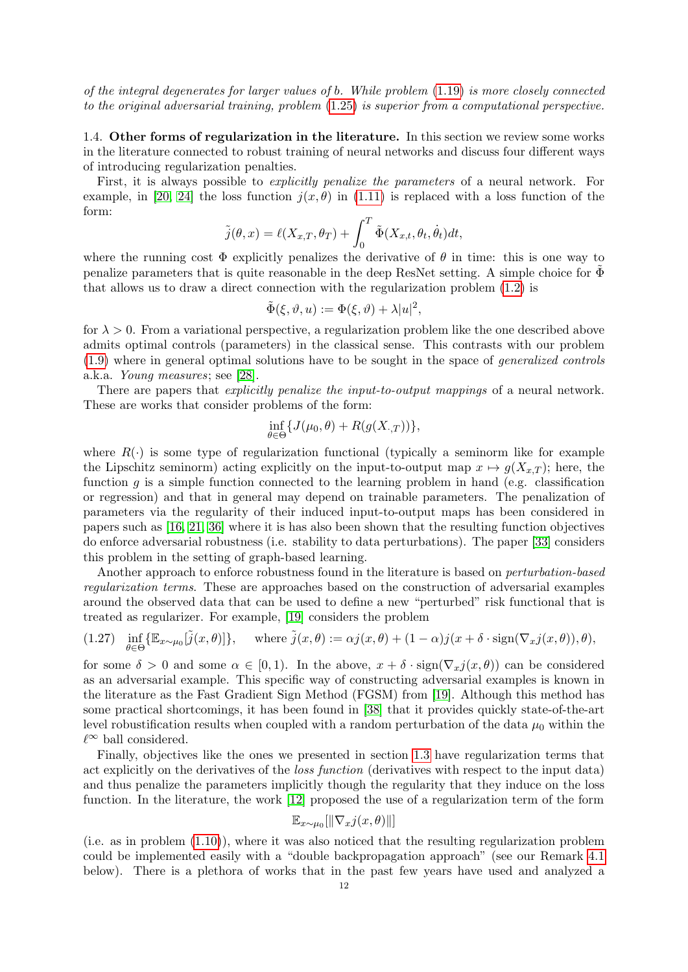of the integral degenerates for larger values of b. While problem [\(1.19\)](#page-7-1) is more closely connected to the original adversarial training, problem [\(1.25\)](#page-10-0) is superior from a computational perspective.

1.4. Other forms of regularization in the literature. In this section we review some works in the literature connected to robust training of neural networks and discuss four different ways of introducing regularization penalties.

First, it is always possible to explicitly penalize the parameters of a neural network. For example, in [\[20,](#page-27-7) [24\]](#page-28-6) the loss function  $i(x, \theta)$  in [\(1.11\)](#page-5-2) is replaced with a loss function of the form:

$$
\tilde{j}(\theta, x) = \ell(X_{x,T}, \theta_T) + \int_0^T \tilde{\Phi}(X_{x,t}, \theta_t, \dot{\theta}_t) dt,
$$

where the running cost  $\Phi$  explicitly penalizes the derivative of  $\theta$  in time: this is one way to penalize parameters that is quite reasonable in the deep ResNet setting. A simple choice for  $\Phi$ that allows us to draw a direct connection with the regularization problem [\(1.2\)](#page-0-1) is

$$
\tilde{\Phi}(\xi, \vartheta, u) := \Phi(\xi, \vartheta) + \lambda |u|^2,
$$

for  $\lambda > 0$ . From a variational perspective, a regularization problem like the one described above admits optimal controls (parameters) in the classical sense. This contrasts with our problem [\(1.9\)](#page-4-1) where in general optimal solutions have to be sought in the space of generalized controls a.k.a. Young measures; see [\[28\]](#page-28-8).

There are papers that *explicitly penalize the input-to-output mappings* of a neural network. These are works that consider problems of the form:

$$
\inf_{\theta \in \Theta} \{ J(\mu_0, \theta) + R(g(X_{\cdot, T})) \},\
$$

where  $R(\cdot)$  is some type of regularization functional (typically a seminorm like for example the Lipschitz seminorm) acting explicitly on the input-to-output map  $x \mapsto g(X_{x,T})$ ; here, the function g is a simple function connected to the learning problem in hand (e.g. classification or regression) and that in general may depend on trainable parameters. The penalization of parameters via the regularity of their induced input-to-output maps has been considered in papers such as [\[16,](#page-27-13) [21,](#page-27-14) [36\]](#page-28-9) where it is has also been shown that the resulting function objectives do enforce adversarial robustness (i.e. stability to data perturbations). The paper [\[33\]](#page-28-10) considers this problem in the setting of graph-based learning.

Another approach to enforce robustness found in the literature is based on *perturbation-based* regularization terms. These are approaches based on the construction of adversarial examples around the observed data that can be used to define a new "perturbed" risk functional that is treated as regularizer. For example, [\[19\]](#page-27-12) considers the problem

<span id="page-11-0"></span>(1.27) 
$$
\inf_{\theta \in \Theta} \{ \mathbb{E}_{x \sim \mu_0}[\tilde{j}(x,\theta)] \}, \quad \text{where } \tilde{j}(x,\theta) := \alpha j(x,\theta) + (1-\alpha)j(x+\delta \cdot \text{sign}(\nabla_x j(x,\theta)), \theta),
$$

for some  $\delta > 0$  and some  $\alpha \in [0,1)$ . In the above,  $x + \delta \cdot \text{sign}(\nabla_x j(x, \theta))$  can be considered as an adversarial example. This specific way of constructing adversarial examples is known in the literature as the Fast Gradient Sign Method (FGSM) from [\[19\]](#page-27-12). Although this method has some practical shortcomings, it has been found in [\[38\]](#page-28-11) that it provides quickly state-of-the-art level robustification results when coupled with a random perturbation of the data  $\mu_0$  within the  $\ell^∞$  ball considered.

Finally, objectives like the ones we presented in section [1.3](#page-4-0) have regularization terms that act explicitly on the derivatives of the loss function (derivatives with respect to the input data) and thus penalize the parameters implicitly though the regularity that they induce on the loss function. In the literature, the work [\[12\]](#page-27-8) proposed the use of a regularization term of the form

$$
\mathbb{E}_{x \sim \mu_0}[\|\nabla_x j(x, \theta)\|]
$$

(i.e. as in problem [\(1.10\)](#page-5-0)), where it was also noticed that the resulting regularization problem could be implemented easily with a "double backpropagation approach" (see our Remark [4.1](#page-22-1) below). There is a plethora of works that in the past few years have used and analyzed a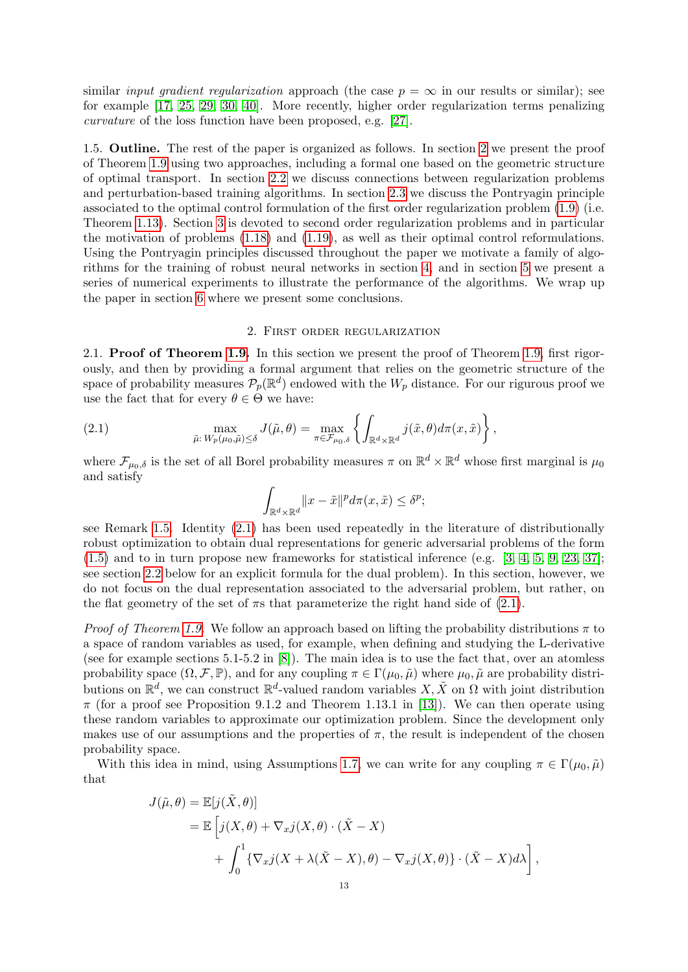similar *input gradient regularization* approach (the case  $p = \infty$  in our results or similar); see for example [\[17,](#page-27-5) [25,](#page-28-0) [29,](#page-28-2) [30,](#page-28-3) [40\]](#page-28-4). More recently, higher order regularization terms penalizing curvature of the loss function have been proposed, e.g. [\[27\]](#page-28-1).

1.5. Outline. The rest of the paper is organized as follows. In section [2](#page-12-0) we present the proof of Theorem [1.9](#page-4-5) using two approaches, including a formal one based on the geometric structure of optimal transport. In section [2.2](#page-16-0) we discuss connections between regularization problems and perturbation-based training algorithms. In section [2.3](#page-17-0) we discuss the Pontryagin principle associated to the optimal control formulation of the first order regularization problem [\(1.9\)](#page-4-1) (i.e. Theorem [1.13\)](#page-6-2). Section [3](#page-19-0) is devoted to second order regularization problems and in particular the motivation of problems [\(1.18\)](#page-7-0) and [\(1.19\)](#page-7-1), as well as their optimal control reformulations. Using the Pontryagin principles discussed throughout the paper we motivate a family of algorithms for the training of robust neural networks in section [4,](#page-22-0) and in section [5](#page-25-0) we present a series of numerical experiments to illustrate the performance of the algorithms. We wrap up the paper in section [6](#page-26-0) where we present some conclusions.

## 2. First order regularization

<span id="page-12-0"></span>2.1. Proof of Theorem [1.9.](#page-4-5) In this section we present the proof of Theorem [1.9,](#page-4-5) first rigorously, and then by providing a formal argument that relies on the geometric structure of the space of probability measures  $\mathcal{P}_p(\mathbb{R}^d)$  endowed with the  $W_p$  distance. For our rigurous proof we use the fact that for every  $\theta \in \Theta$  we have:

(2.1) 
$$
\max_{\tilde{\mu}: W_p(\mu_0, \tilde{\mu}) \leq \delta} J(\tilde{\mu}, \theta) = \max_{\pi \in \mathcal{F}_{\mu_0, \delta}} \left\{ \int_{\mathbb{R}^d \times \mathbb{R}^d} j(\tilde{x}, \theta) d\pi(x, \tilde{x}) \right\},
$$

where  $\mathcal{F}_{\mu_0,\delta}$  is the set of all Borel probability measures  $\pi$  on  $\mathbb{R}^d \times \mathbb{R}^d$  whose first marginal is  $\mu_0$ and satisfy

<span id="page-12-1"></span>
$$
\int_{\mathbb{R}^d \times \mathbb{R}^d} ||x - \tilde{x}||^p d\pi(x, \tilde{x}) \le \delta^p;
$$

see Remark [1.5.](#page-3-3) Identity [\(2.1\)](#page-12-1) has been used repeatedly in the literature of distributionally robust optimization to obtain dual representations for generic adversarial problems of the form  $(1.5)$  and to in turn propose new frameworks for statistical inference (e.g.  $[3, 4, 5, 9, 23, 37]$  $[3, 4, 5, 9, 23, 37]$  $[3, 4, 5, 9, 23, 37]$  $[3, 4, 5, 9, 23, 37]$  $[3, 4, 5, 9, 23, 37]$  $[3, 4, 5, 9, 23, 37]$ ; see section [2.2](#page-16-0) below for an explicit formula for the dual problem). In this section, however, we do not focus on the dual representation associated to the adversarial problem, but rather, on the flat geometry of the set of  $\pi s$  that parameterize the right hand side of [\(2.1\)](#page-12-1).

*Proof of Theorem [1.9.](#page-4-5)* We follow an approach based on lifting the probability distributions  $\pi$  to a space of random variables as used, for example, when defining and studying the L-derivative (see for example sections  $5.1-5.2$  in  $[8]$ ). The main idea is to use the fact that, over an atomless probability space  $(\Omega, \mathcal{F}, \mathbb{P})$ , and for any coupling  $\pi \in \Gamma(\mu_0, \tilde{\mu})$  where  $\mu_0, \tilde{\mu}$  are probability distributions on  $\mathbb{R}^d$ , we can construct  $\mathbb{R}^d$ -valued random variables  $X, \tilde{X}$  on  $\Omega$  with joint distribution  $\pi$  (for a proof see Proposition 9.1.2 and Theorem 1.13.1 in [\[13\]](#page-27-17)). We can then operate using these random variables to approximate our optimization problem. Since the development only makes use of our assumptions and the properties of  $\pi$ , the result is independent of the chosen probability space.

With this idea in mind, using Assumptions [1.7,](#page-4-2) we can write for any coupling  $\pi \in \Gamma(\mu_0, \tilde{\mu})$ that

$$
J(\tilde{\mu}, \theta) = \mathbb{E}[j(\tilde{X}, \theta)]
$$
  
=  $\mathbb{E}\left[j(X, \theta) + \nabla_x j(X, \theta) \cdot (\tilde{X} - X) + \int_0^1 \{\nabla_x j(X + \lambda(\tilde{X} - X), \theta) - \nabla_x j(X, \theta)\} \cdot (\tilde{X} - X) d\lambda \right],$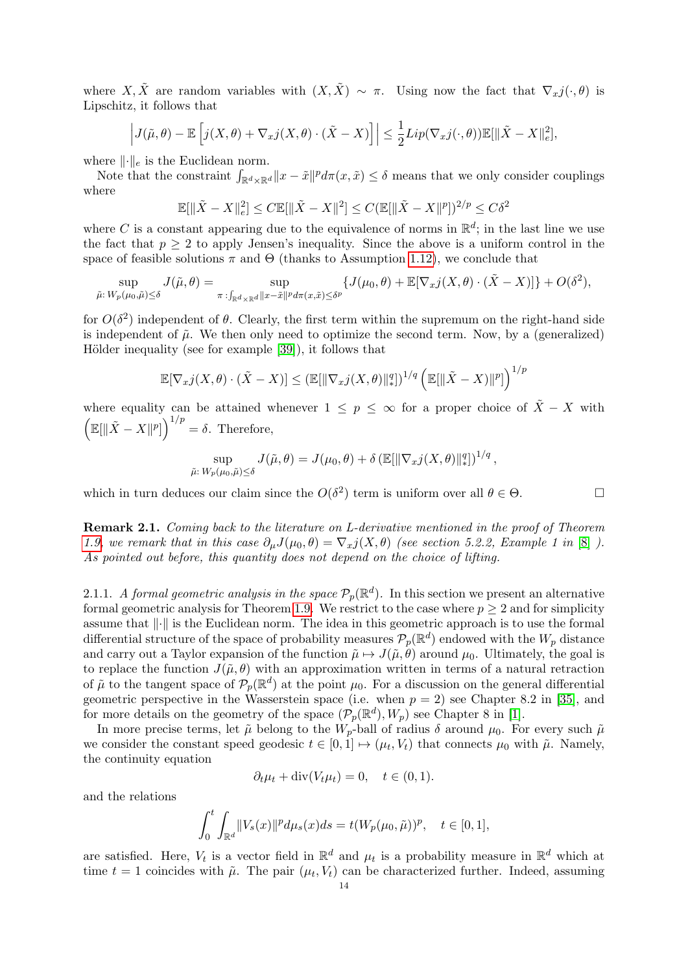where X, X are random variables with  $(X, \tilde{X}) \sim \pi$ . Using now the fact that  $\nabla_x j(\cdot, \theta)$  is Lipschitz, it follows that

$$
\left| J(\tilde{\mu}, \theta) - \mathbb{E}\left[ j(X, \theta) + \nabla_{x} j(X, \theta) \cdot (\tilde{X} - X) \right] \right| \leq \frac{1}{2} Lip(\nabla_{x} j(\cdot, \theta)) \mathbb{E}[\|\tilde{X} - X\|_{e}^{2}],
$$

where  $\lVert \cdot \rVert_e$  is the Euclidean norm.

Note that the constraint  $\int_{\mathbb{R}^d \times \mathbb{R}^d} ||x - \tilde{x}||^p d\pi(x, \tilde{x}) \leq \delta$  means that we only consider couplings where

$$
\mathbb{E}[\|\tilde{X} - X\|_e^2] \le C \mathbb{E}[\|\tilde{X} - X\|^2] \le C (\mathbb{E}[\|\tilde{X} - X\|^p])^{2/p} \le C\delta^2
$$

where C is a constant appearing due to the equivalence of norms in  $\mathbb{R}^d$ ; in the last line we use the fact that  $p \geq 2$  to apply Jensen's inequality. Since the above is a uniform control in the space of feasible solutions  $\pi$  and  $\Theta$  (thanks to Assumption [1.12\)](#page-5-1), we conclude that

$$
\sup_{\tilde{\mu}: W_p(\mu_0, \tilde{\mu}) \leq \delta} J(\tilde{\mu}, \theta) = \sup_{\pi: \int_{\mathbb{R}^d \times \mathbb{R}^d} \|x - \tilde{x}\|^p d\pi(x, \tilde{x}) \leq \delta^p} \{J(\mu_0, \theta) + \mathbb{E}[\nabla_x j(X, \theta) \cdot (\tilde{X} - X)]\} + O(\delta^2),
$$

for  $O(\delta^2)$  independent of  $\theta$ . Clearly, the first term within the supremum on the right-hand side is independent of  $\tilde{\mu}$ . We then only need to optimize the second term. Now, by a (generalized) Hölder inequality (see for example  $[39]$ ), it follows that

$$
\mathbb{E}[\nabla_x j(X, \theta) \cdot (\tilde{X} - X)] \leq (\mathbb{E}[\|\nabla_x j(X, \theta)\|_*^q])^{1/q} \left( \mathbb{E}[\|\tilde{X} - X)\|^p] \right)^{1/p}
$$

where equality can be attained whenever  $1 \leq p \leq \infty$  for a proper choice of  $\tilde{X} - X$  with  $\left(\mathbb{E}[\|\tilde{X}-X\|^p]\right)^{1/p}=\delta.$  Therefore,

$$
\sup_{\tilde{\mu}: W_p(\mu_0,\tilde{\mu}) \leq \delta} J(\tilde{\mu},\theta) = J(\mu_0,\theta) + \delta \left( \mathbb{E}[\|\nabla_x j(X,\theta)\|_*^q] \right)^{1/q},
$$

which in turn deduces our claim since the  $O(\delta^2)$  term is uniform over all  $\theta \in \Theta$ .

Remark 2.1. Coming back to the literature on L-derivative mentioned in the proof of Theorem [1.9,](#page-4-5) we remark that in this case  $\partial_{\mu}J(\mu_0,\theta) = \nabla_x j(X,\theta)$  (see section 5.2.2, Example 1 in [\[8\]](#page-27-16) ). As pointed out before, this quantity does not depend on the choice of lifting.

<span id="page-13-0"></span>2.1.1. A formal geometric analysis in the space  $\mathcal{P}_p(\mathbb{R}^d)$ . In this section we present an alternative formal geometric analysis for Theorem [1.9.](#page-4-5) We restrict to the case where  $p \geq 2$  and for simplicity assume that  $\lVert \cdot \rVert$  is the Euclidean norm. The idea in this geometric approach is to use the formal differential structure of the space of probability measures  $\mathcal{P}_p(\mathbb{R}^d)$  endowed with the  $W_p$  distance and carry out a Taylor expansion of the function  $\tilde{\mu} \mapsto J(\tilde{\mu}, \theta)$  around  $\mu_0$ . Ultimately, the goal is to replace the function  $J(\tilde{\mu}, \theta)$  with an approximation written in terms of a natural retraction of  $\tilde{\mu}$  to the tangent space of  $\mathcal{P}_p(\mathbb{R}^d)$  at the point  $\mu_0$ . For a discussion on the general differential geometric perspective in the Wasserstein space (i.e. when  $p = 2$ ) see Chapter 8.2 in [\[35\]](#page-28-15), and for more details on the geometry of the space  $(\mathcal{P}_p(\mathbb{R}^d), W_p)$  see Chapter 8 in [\[1\]](#page-27-18).

In more precise terms, let  $\tilde{\mu}$  belong to the  $W_p$ -ball of radius  $\delta$  around  $\mu_0$ . For every such  $\tilde{\mu}$ we consider the constant speed geodesic  $t \in [0,1] \mapsto (\mu_t, V_t)$  that connects  $\mu_0$  with  $\tilde{\mu}$ . Namely, the continuity equation

$$
\partial_t \mu_t + \text{div}(V_t \mu_t) = 0, \quad t \in (0, 1).
$$

and the relations

$$
\int_0^t \int_{\mathbb{R}^d} ||V_s(x)||^p d\mu_s(x) ds = t(W_p(\mu_0, \tilde{\mu}))^p, \quad t \in [0, 1],
$$

are satisfied. Here,  $V_t$  is a vector field in  $\mathbb{R}^d$  and  $\mu_t$  is a probability measure in  $\mathbb{R}^d$  which at time  $t = 1$  coincides with  $\tilde{\mu}$ . The pair  $(\mu_t, V_t)$  can be characterized further. Indeed, assuming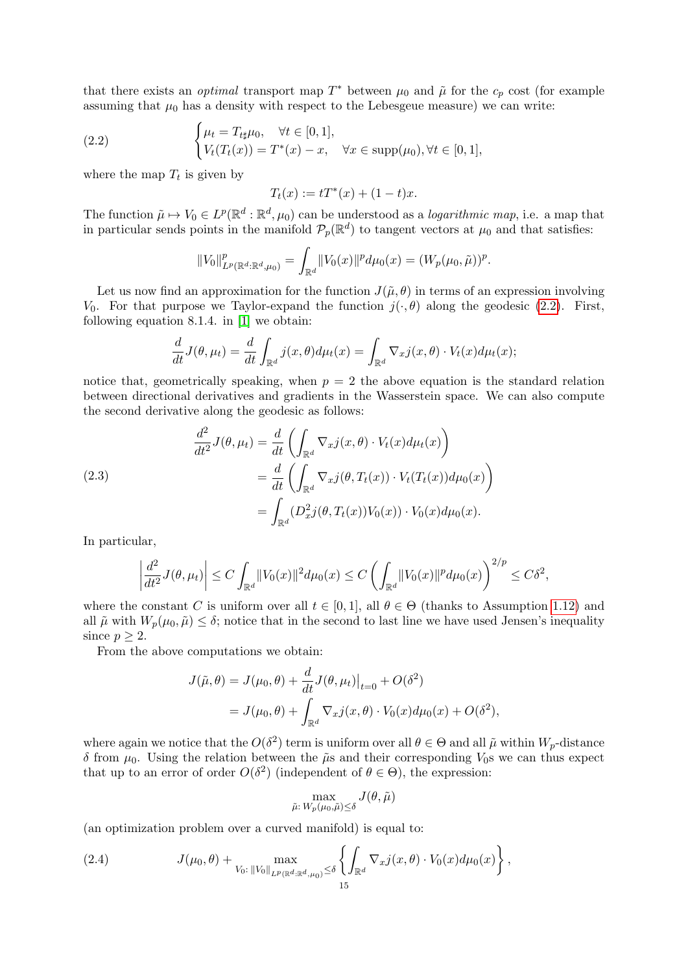that there exists an *optimal* transport map  $T^*$  between  $\mu_0$  and  $\tilde{\mu}$  for the  $c_p$  cost (for example assuming that  $\mu_0$  has a density with respect to the Lebesgeue measure) we can write:

(2.2) 
$$
\begin{cases} \mu_t = T_{t\sharp}\mu_0, & \forall t \in [0,1], \\ V_t(T_t(x)) = T^*(x) - x, & \forall x \in \text{supp}(\mu_0), \forall t \in [0,1], \end{cases}
$$

where the map  $T_t$  is given by

<span id="page-14-0"></span>
$$
T_t(x) := tT^*(x) + (1 - t)x.
$$

The function  $\tilde{\mu} \mapsto V_0 \in L^p(\mathbb{R}^d : \mathbb{R}^d, \mu_0)$  can be understood as a *logarithmic map*, i.e. a map that in particular sends points in the manifold  $\mathcal{P}_p(\mathbb{R}^d)$  to tangent vectors at  $\mu_0$  and that satisfies:

$$
||V_0||^p_{L^p(\mathbb{R}^d:\mathbb{R}^d,\mu_0)} = \int_{\mathbb{R}^d} ||V_0(x)||^p d\mu_0(x) = (W_p(\mu_0,\tilde{\mu}))^p.
$$

Let us now find an approximation for the function  $J(\tilde{\mu}, \theta)$  in terms of an expression involving V<sub>0</sub>. For that purpose we Taylor-expand the function  $j(\cdot,\theta)$  along the geodesic [\(2.2\)](#page-14-0). First, following equation 8.1.4. in [\[1\]](#page-27-18) we obtain:

$$
\frac{d}{dt}J(\theta,\mu_t) = \frac{d}{dt}\int_{\mathbb{R}^d} j(x,\theta)d\mu_t(x) = \int_{\mathbb{R}^d} \nabla_x j(x,\theta) \cdot V_t(x)d\mu_t(x);
$$

notice that, geometrically speaking, when  $p = 2$  the above equation is the standard relation between directional derivatives and gradients in the Wasserstein space. We can also compute the second derivative along the geodesic as follows:

(2.3)  
\n
$$
\frac{d^2}{dt^2} J(\theta, \mu_t) = \frac{d}{dt} \left( \int_{\mathbb{R}^d} \nabla_x j(x, \theta) \cdot V_t(x) d\mu_t(x) \right)
$$
\n
$$
= \frac{d}{dt} \left( \int_{\mathbb{R}^d} \nabla_x j(\theta, T_t(x)) \cdot V_t(T_t(x)) d\mu_0(x) \right)
$$
\n
$$
= \int_{\mathbb{R}^d} (D_x^2 j(\theta, T_t(x)) V_0(x)) \cdot V_0(x) d\mu_0(x).
$$

In particular,

$$
\left| \frac{d^2}{dt^2} J(\theta, \mu_t) \right| \le C \int_{\mathbb{R}^d} ||V_0(x)||^2 d\mu_0(x) \le C \left( \int_{\mathbb{R}^d} ||V_0(x)||^p d\mu_0(x) \right)^{2/p} \le C\delta^2,
$$

where the constant C is uniform over all  $t \in [0,1]$ , all  $\theta \in \Theta$  (thanks to Assumption [1.12\)](#page-5-1) and all  $\tilde{\mu}$  with  $W_p(\mu_0, \tilde{\mu}) \leq \delta$ ; notice that in the second to last line we have used Jensen's inequality since  $p \geq 2$ .

From the above computations we obtain:

$$
J(\tilde{\mu}, \theta) = J(\mu_0, \theta) + \frac{d}{dt} J(\theta, \mu_t)|_{t=0} + O(\delta^2)
$$
  
=  $J(\mu_0, \theta) + \int_{\mathbb{R}^d} \nabla_x j(x, \theta) \cdot V_0(x) d\mu_0(x) + O(\delta^2),$ 

where again we notice that the  $O(\delta^2)$  term is uniform over all  $\theta \in \Theta$  and all  $\tilde{\mu}$  within  $W_p$ -distance δ from  $μ_0$ . Using the relation between the  $\tilde{μ}$ s and their corresponding  $V_0$ s we can thus expect that up to an error of order  $O(\delta^2)$  (independent of  $\theta \in \Theta$ ), the expression:

$$
\max_{\tilde{\mu}: W_p(\mu_0, \tilde{\mu}) \leq \delta} J(\theta, \tilde{\mu})
$$

(an optimization problem over a curved manifold) is equal to:

<span id="page-14-1"></span>(2.4) 
$$
J(\mu_0, \theta) + \max_{V_0: \, \|V_0\|_{L^p(\mathbb{R}^d : \mathbb{R}^d, \mu_0)} \leq \delta} \left\{ \int_{\mathbb{R}^d} \nabla_x j(x, \theta) \cdot V_0(x) d\mu_0(x) \right\},
$$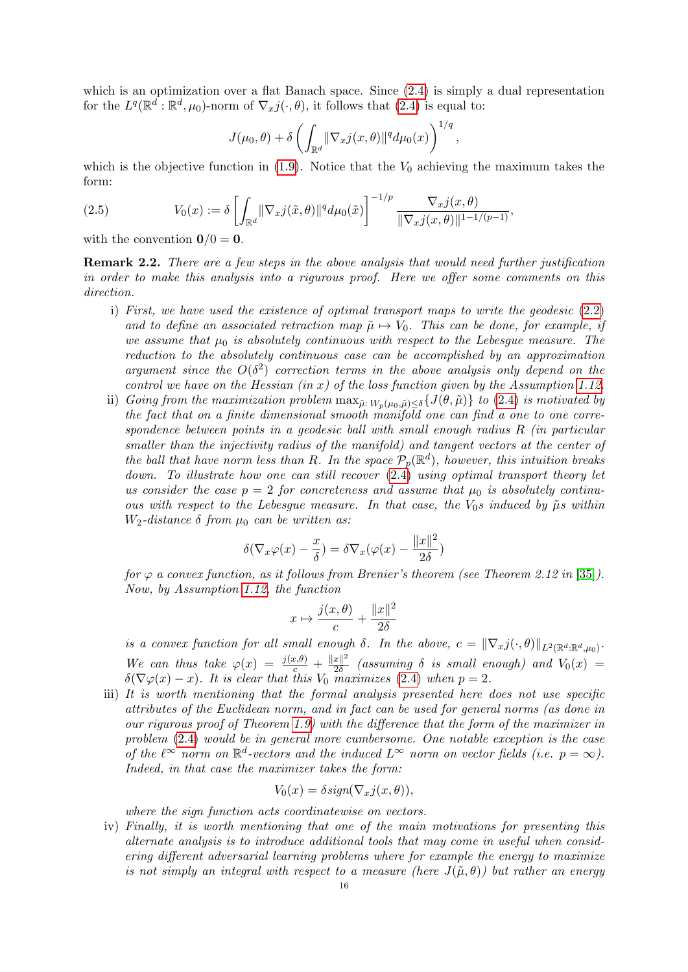which is an optimization over a flat Banach space. Since  $(2.4)$  is simply a dual representation for the  $L^q(\mathbb{R}^d : \mathbb{R}^d, \mu_0)$ -norm of  $\nabla_x j(\cdot, \theta)$ , it follows that  $(2.4)$  is equal to:

$$
J(\mu_0, \theta) + \delta \left( \int_{\mathbb{R}^d} \lVert \nabla_x j(x, \theta) \rVert^q d\mu_0(x) \right)^{1/q},
$$

which is the objective function in  $(1.9)$ . Notice that the  $V_0$  achieving the maximum takes the form:

<span id="page-15-1"></span>(2.5) 
$$
V_0(x) := \delta \left[ \int_{\mathbb{R}^d} ||\nabla_x j(\tilde{x}, \theta)||^q d\mu_0(\tilde{x}) \right]^{-1/p} \frac{\nabla_x j(x, \theta)}{||\nabla_x j(x, \theta)||^{1-1/(p-1)}},
$$

with the convention  $\mathbf{0}/0 = \mathbf{0}$ .

<span id="page-15-0"></span>Remark 2.2. There are a few steps in the above analysis that would need further justification in order to make this analysis into a rigurous proof. Here we offer some comments on this direction.

- i) First, we have used the existence of optimal transport maps to write the geodesic  $(2.2)$ and to define an associated retraction map  $\tilde{\mu} \mapsto V_0$ . This can be done, for example, if we assume that  $\mu_0$  is absolutely continuous with respect to the Lebesgue measure. The reduction to the absolutely continuous case can be accomplished by an approximation argument since the  $O(\delta^2)$  correction terms in the above analysis only depend on the control we have on the Hessian (in x) of the loss function given by the Assumption [1.12.](#page-5-1)
- ii) Going from the maximization problem  $\max_{\tilde{\mu}: W_n(\mu_0, \tilde{\mu}) < \delta} \{J(\theta, \tilde{\mu})\}\$  to [\(2.4\)](#page-14-1) is motivated by the fact that on a finite dimensional smooth manifold one can find a one to one correspondence between points in a geodesic ball with small enough radius R (in particular smaller than the injectivity radius of the manifold) and tangent vectors at the center of the ball that have norm less than R. In the space  $\mathcal{P}_p(\mathbb{R}^d)$ , however, this intuition breaks down. To illustrate how one can still recover  $(2.4)$  using optimal transport theory let us consider the case  $p = 2$  for concreteness and assume that  $\mu_0$  is absolutely continuous with respect to the Lebesgue measure. In that case, the  $V_0$ s induced by  $\tilde{\mu}$ s within W<sub>2</sub>-distance  $\delta$  from  $\mu_0$  can be written as:

$$
\delta(\nabla_x \varphi(x) - \frac{x}{\delta}) = \delta \nabla_x (\varphi(x) - \frac{\|x\|^2}{2\delta})
$$

for  $\varphi$  a convex function, as it follows from Brenier's theorem (see Theorem 2.12 in [\[35\]](#page-28-15)). Now, by Assumption [1.12,](#page-5-1) the function

$$
x \mapsto \frac{j(x,\theta)}{c} + \frac{\|x\|^2}{2\delta}
$$

is a convex function for all small enough  $\delta$ . In the above,  $c = \|\nabla_x j(\cdot, \theta)\|_{L^2(\mathbb{R}^d : \mathbb{R}^d, \mu_0)}$ . We can thus take  $\varphi(x) = \frac{j(x,\theta)}{c} + \frac{||x||^2}{2\delta}$  $rac{x_{\parallel}^2}{2\delta}$  (assuming  $\delta$  is small enough) and  $V_0(x)$  =  $\delta(\nabla\varphi(x)-x)$ . It is clear that this  $V_0$  maximizes [\(2.4\)](#page-14-1) when  $p=2$ .

iii) It is worth mentioning that the formal analysis presented here does not use specific attributes of the Euclidean norm, and in fact can be used for general norms (as done in our rigurous proof of Theorem [1.9\)](#page-4-5) with the difference that the form of the maximizer in problem [\(2.4\)](#page-14-1) would be in general more cumbersome. One notable exception is the case of the  $\ell^{\infty}$  norm on  $\mathbb{R}^d$ -vectors and the induced  $L^{\infty}$  norm on vector fields (i.e.  $p = \infty$ ). Indeed, in that case the maximizer takes the form:

$$
V_0(x) = \delta sign(\nabla_x j(x, \theta)),
$$

where the sign function acts coordinatewise on vectors.

iv) Finally, it is worth mentioning that one of the main motivations for presenting this alternate analysis is to introduce additional tools that may come in useful when considering different adversarial learning problems where for example the energy to maximize is not simply an integral with respect to a measure (here  $J(\tilde{\mu},\theta)$ ) but rather an energy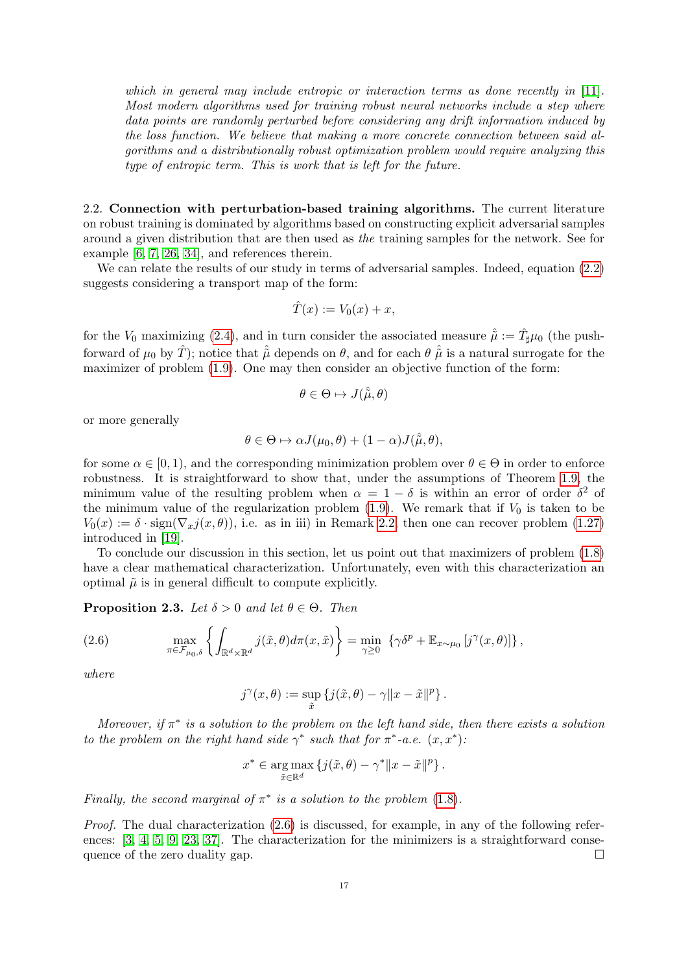which in general may include entropic or interaction terms as done recently in [\[11\]](#page-27-19). Most modern algorithms used for training robust neural networks include a step where data points are randomly perturbed before considering any drift information induced by the loss function. We believe that making a more concrete connection between said algorithms and a distributionally robust optimization problem would require analyzing this type of entropic term. This is work that is left for the future.

<span id="page-16-0"></span>2.2. Connection with perturbation-based training algorithms. The current literature on robust training is dominated by algorithms based on constructing explicit adversarial samples around a given distribution that are then used as the training samples for the network. See for example [\[6,](#page-27-20) [7,](#page-27-21) [26,](#page-28-16) [34\]](#page-28-17), and references therein.

We can relate the results of our study in terms of adversarial samples. Indeed, equation  $(2.2)$ suggests considering a transport map of the form:

$$
\hat{T}(x) := V_0(x) + x,
$$

for the  $V_0$  maximizing [\(2.4\)](#page-14-1), and in turn consider the associated measure  $\hat{\tilde{\mu}} := \hat{T}_{\sharp} \mu_0$  (the pushforward of  $\mu_0$  by  $\hat{T}$ ); notice that  $\hat{\mu}$  depends on  $\theta$ , and for each  $\theta$   $\hat{\mu}$  is a natural surrogate for the maximizer of problem [\(1.9\)](#page-4-5). One may then consider an objective function of the form:

$$
\theta \in \Theta \mapsto J(\hat{\tilde{\mu}}, \theta)
$$

or more generally

$$
\theta \in \Theta \mapsto \alpha J(\mu_0, \theta) + (1 - \alpha) J(\hat{\tilde{\mu}}, \theta),
$$

for some  $\alpha \in [0, 1)$ , and the corresponding minimization problem over  $\theta \in \Theta$  in order to enforce robustness. It is straightforward to show that, under the assumptions of Theorem [1.9,](#page-4-5) the minimum value of the resulting problem when  $\alpha = 1 - \delta$  is within an error of order  $\delta^2$  of the minimum value of the regularization problem [\(1.9\)](#page-4-1). We remark that if  $V_0$  is taken to be  $V_0(x) := \delta \cdot \text{sign}(\nabla_x j(x, \theta))$ , i.e. as in iii) in Remark [2.2,](#page-15-0) then one can recover problem [\(1.27\)](#page-11-0) introduced in [\[19\]](#page-27-12).

To conclude our discussion in this section, let us point out that maximizers of problem [\(1.8\)](#page-4-4) have a clear mathematical characterization. Unfortunately, even with this characterization an optimal  $\tilde{\mu}$  is in general difficult to compute explicitly.

**Proposition 2.3.** Let  $\delta > 0$  and let  $\theta \in \Theta$ . Then

<span id="page-16-1"></span>(2.6) 
$$
\max_{\pi \in \mathcal{F}_{\mu_0, \delta}} \left\{ \int_{\mathbb{R}^d \times \mathbb{R}^d} j(\tilde{x}, \theta) d\pi(x, \tilde{x}) \right\} = \min_{\gamma \geq 0} \left\{ \gamma \delta^p + \mathbb{E}_{x \sim \mu_0} \left[ j^{\gamma}(x, \theta) \right] \right\},
$$

where

$$
j^\gamma(x,\theta):=\sup_{\tilde x}\left\{j(\tilde x,\theta)-\gamma\|x-\tilde x\|^p\right\}.
$$

Moreover, if  $\pi^*$  is a solution to the problem on the left hand side, then there exists a solution to the problem on the right hand side  $\gamma^*$  such that for  $\pi^*$ -a.e.  $(x, x^*)$ .

$$
x^* \in \underset{\tilde{x} \in \mathbb{R}^d}{\arg \max} \left\{ j(\tilde{x}, \theta) - \gamma^* ||x - \tilde{x}||^p \right\}.
$$

Finally, the second marginal of  $\pi^*$  is a solution to the problem [\(1.8\)](#page-4-4).

Proof. The dual characterization [\(2.6\)](#page-16-1) is discussed, for example, in any of the following refer-ences: [\[3,](#page-27-15) [4,](#page-27-0) [5,](#page-27-1) [9,](#page-27-2) [23,](#page-28-12) [37\]](#page-28-13). The characterization for the minimizers is a straightforward consequence of the zero duality gap.  $\Box$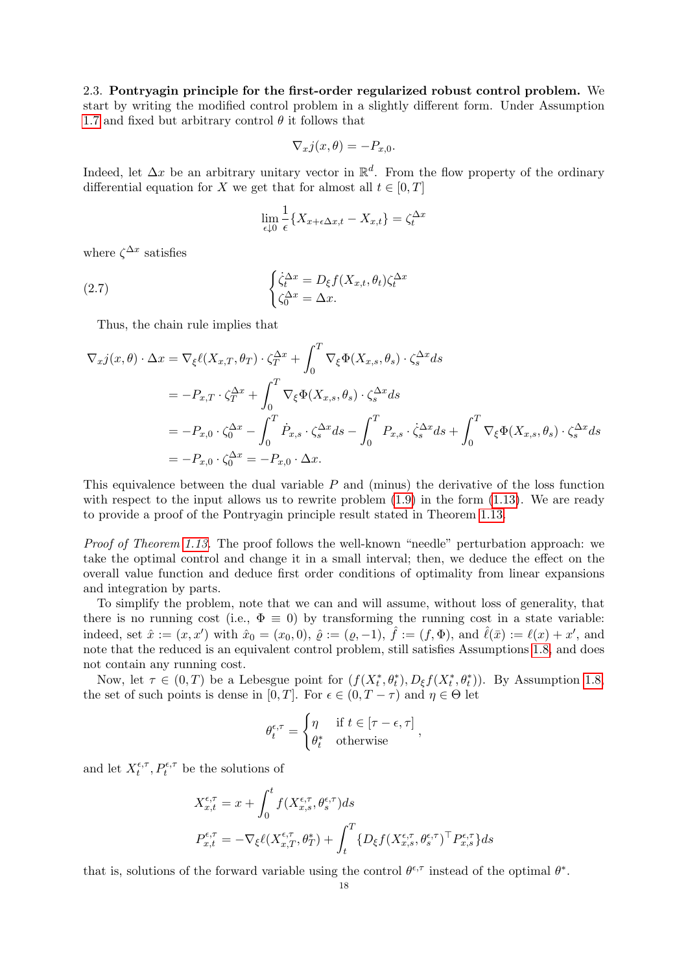<span id="page-17-0"></span>2.3. Pontryagin principle for the first-order regularized robust control problem. We start by writing the modified control problem in a slightly different form. Under Assumption [1.7](#page-4-2) and fixed but arbitrary control  $\theta$  it follows that

$$
\nabla_x j(x,\theta) = -P_{x,0}.
$$

Indeed, let  $\Delta x$  be an arbitrary unitary vector in  $\mathbb{R}^d$ . From the flow property of the ordinary differential equation for X we get that for almost all  $t \in [0, T]$ 

<span id="page-17-1"></span>
$$
\lim_{\epsilon \downarrow 0} \frac{1}{\epsilon} \{ X_{x + \epsilon \Delta x, t} - X_{x, t} \} = \zeta_t^{\Delta x}
$$

where  $\zeta^{\Delta x}$  satisfies

(2.7) 
$$
\begin{cases} \dot{\zeta}_t^{\Delta x} = D_{\xi} f(X_{x,t}, \theta_t) \zeta_t^{\Delta x} \\ \zeta_0^{\Delta x} = \Delta x. \end{cases}
$$

Thus, the chain rule implies that

$$
\nabla_x j(x,\theta) \cdot \Delta x = \nabla_{\xi} \ell(X_{x,T}, \theta_T) \cdot \zeta_T^{\Delta x} + \int_0^T \nabla_{\xi} \Phi(X_{x,s}, \theta_s) \cdot \zeta_s^{\Delta x} ds
$$
  
\n
$$
= -P_{x,T} \cdot \zeta_T^{\Delta x} + \int_0^T \nabla_{\xi} \Phi(X_{x,s}, \theta_s) \cdot \zeta_s^{\Delta x} ds
$$
  
\n
$$
= -P_{x,0} \cdot \zeta_0^{\Delta x} - \int_0^T \dot{P}_{x,s} \cdot \zeta_s^{\Delta x} ds - \int_0^T P_{x,s} \cdot \dot{\zeta}_s^{\Delta x} ds + \int_0^T \nabla_{\xi} \Phi(X_{x,s}, \theta_s) \cdot \zeta_s^{\Delta x} ds
$$
  
\n
$$
= -P_{x,0} \cdot \zeta_0^{\Delta x} = -P_{x,0} \cdot \Delta x.
$$

This equivalence between the dual variable  $P$  and (minus) the derivative of the loss function with respect to the input allows us to rewrite problem  $(1.9)$  in the form  $(1.13)$ . We are ready to provide a proof of the Pontryagin principle result stated in Theorem [1.13.](#page-6-2)

Proof of Theorem [1.13.](#page-6-2) The proof follows the well-known "needle" perturbation approach: we take the optimal control and change it in a small interval; then, we deduce the effect on the overall value function and deduce first order conditions of optimality from linear expansions and integration by parts.

To simplify the problem, note that we can and will assume, without loss of generality, that there is no running cost (i.e.,  $\Phi \equiv 0$ ) by transforming the running cost in a state variable: indeed, set  $\hat{x} := (x, x')$  with  $\hat{x}_0 = (x_0, 0), \ \hat{\varrho} := (\varrho, -1), \ \hat{f} := (f, \Phi), \text{ and } \ \hat{\ell}(\bar{x}) := \ell(x) + x'$ , and note that the reduced is an equivalent control problem, still satisfies Assumptions [1.8,](#page-4-3) and does not contain any running cost.

Now, let  $\tau \in (0,T)$  be a Lebesgue point for  $(f(X_t^*, \theta_t^*), D_{\xi}f(X_t^*, \theta_t^*))$ . By Assumption [1.8,](#page-4-3) the set of such points is dense in [0, T]. For  $\epsilon \in (0, T - \tau)$  and  $\eta \in \Theta$  let

$$
\theta_t^{\epsilon,\tau} = \begin{cases} \eta & \text{if } t \in [\tau - \epsilon, \tau] \\ \theta_t^* & \text{otherwise} \end{cases}
$$

,

and let  $X_t^{\epsilon,\tau}$  $t^{\epsilon,\tau}_{t}, P^{\epsilon,\tau}_{t}$  be the solutions of

$$
X_{x,t}^{\epsilon,\tau} = x + \int_0^t f(X_{x,s}^{\epsilon,\tau}, \theta_s^{\epsilon,\tau}) ds
$$
  

$$
P_{x,t}^{\epsilon,\tau} = -\nabla_{\xi} \ell(X_{x,T}^{\epsilon,\tau}, \theta_T^*) + \int_t^T \{D_{\xi} f(X_{x,s}^{\epsilon,\tau}, \theta_s^{\epsilon,\tau})^\top P_{x,s}^{\epsilon,\tau}\} ds
$$

that is, solutions of the forward variable using the control  $\theta^{\epsilon,\tau}$  instead of the optimal  $\theta^*$ .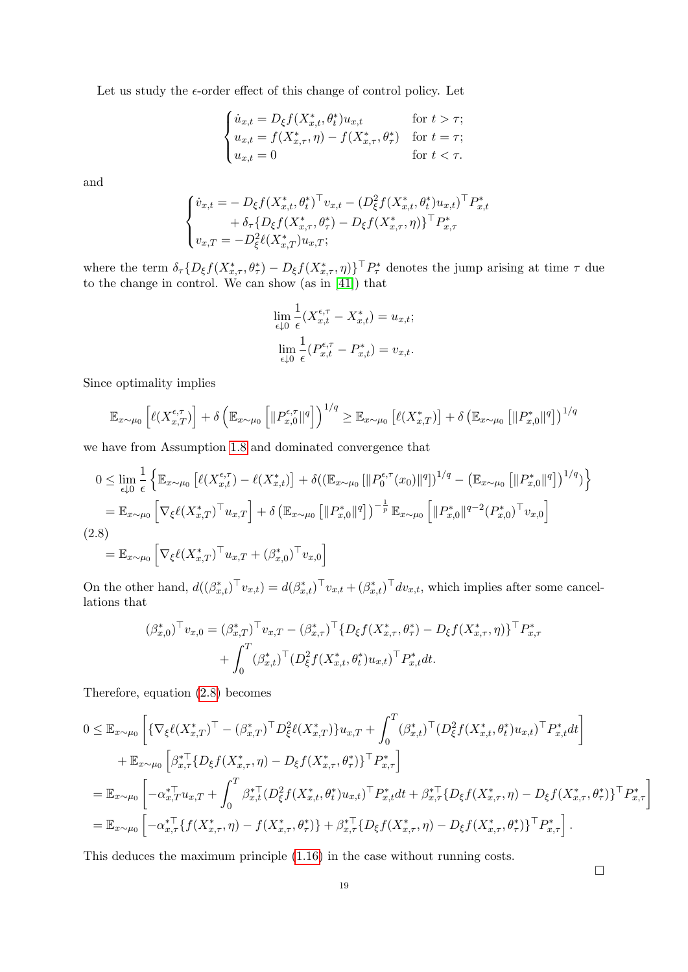Let us study the  $\epsilon$ -order effect of this change of control policy. Let

$$
\begin{cases} \dot{u}_{x,t} = D_{\xi} f(X_{x,t}^*, \theta_t^*) u_{x,t} & \text{for } t > \tau; \\ u_{x,t} = f(X_{x,\tau}^*, \eta) - f(X_{x,\tau}^*, \theta_\tau^*) & \text{for } t = \tau; \\ u_{x,t} = 0 & \text{for } t < \tau. \end{cases}
$$

and

$$
\begin{cases} \dot{v}_{x,t} = -D_{\xi} f(X_{x,t}^*, \theta_t^*)^{\top} v_{x,t} - (D_{\xi}^2 f(X_{x,t}^*, \theta_t^*) u_{x,t})^{\top} P_{x,t}^* \\ \qquad + \delta_{\tau} \{ D_{\xi} f(X_{x,\tau}^*, \theta_{\tau}^*) - D_{\xi} f(X_{x,\tau}^*, \eta) \}^{\top} P_{x,\tau}^* \\ v_{x,T} = -D_{\xi}^2 \ell(X_{x,T}^*) u_{x,T}; \end{cases}
$$

where the term  $\delta_{\tau} \{D_{\xi} f(X_{x,\tau}^*, \theta_{\tau}^*) - D_{\xi} f(X_{x,\tau}^*, \eta)\}^{\top} P_{\tau}^*$  denotes the jump arising at time  $\tau$  due to the change in control. We can show (as in [\[41\]](#page-28-18)) that

$$
\lim_{\epsilon \downarrow 0} \frac{1}{\epsilon} (X_{x,t}^{\epsilon,\tau} - X_{x,t}^*) = u_{x,t};
$$

$$
\lim_{\epsilon \downarrow 0} \frac{1}{\epsilon} (P_{x,t}^{\epsilon,\tau} - P_{x,t}^*) = v_{x,t}.
$$

Since optimality implies

$$
\mathbb{E}_{x \sim \mu_0} \left[ \ell(X_{x,T}^{\epsilon,\tau}) \right] + \delta \left( \mathbb{E}_{x \sim \mu_0} \left[ \| P_{x,0}^{\epsilon,\tau} \|^q \right] \right)^{1/q} \geq \mathbb{E}_{x \sim \mu_0} \left[ \ell(X_{x,T}^*) \right] + \delta \left( \mathbb{E}_{x \sim \mu_0} \left[ \| P_{x,0}^* \|^q \right] \right)^{1/q}
$$

we have from Assumption [1.8](#page-4-3) and dominated convergence that

<span id="page-18-0"></span>
$$
0 \leq \lim_{\epsilon \downarrow 0} \frac{1}{\epsilon} \left\{ \mathbb{E}_{x \sim \mu_0} \left[ \ell(X_{x,t}^{\epsilon,\tau}) - \ell(X_{x,t}^*) \right] + \delta \left( (\mathbb{E}_{x \sim \mu_0} \left[ ||P_0^{\epsilon,\tau}(x_0)||^q \right])^{1/q} - \left( \mathbb{E}_{x \sim \mu_0} \left[ ||P_{x,0}^*||^q \right] \right)^{1/q} \right) \right\}
$$
  
\n
$$
= \mathbb{E}_{x \sim \mu_0} \left[ \nabla_{\xi} \ell(X_{x,T}^*)^\top u_{x,T} \right] + \delta \left( \mathbb{E}_{x \sim \mu_0} \left[ ||P_{x,0}^*||^q \right] \right)^{-\frac{1}{p}} \mathbb{E}_{x \sim \mu_0} \left[ ||P_{x,0}^*||^{q-2} (P_{x,0}^*)^\top v_{x,0} \right]
$$
  
\n(2.8)  
\n
$$
= \mathbb{E}_{x \sim \mu_0} \left[ \nabla_{\xi} \ell(X_{x,T}^*)^\top u_{x,T} + (\beta_{x,0}^*)^\top v_{x,0} \right]
$$

On the other hand,  $d((\beta_{x,t}^*)^\top v_{x,t}) = d(\beta_{x,t}^*)^\top v_{x,t} + (\beta_{x,t}^*)^\top dv_{x,t}$ , which implies after some cancellations that

$$
(\beta_{x,0}^*)^{\top} v_{x,0} = (\beta_{x,T}^*)^{\top} v_{x,T} - (\beta_{x,T}^*)^{\top} \{D_{\xi}f(X_{x,\tau}^*, \theta_{\tau}^*) - D_{\xi}f(X_{x,\tau}^*, \eta)\}^{\top} P_{x,\tau}^*
$$

$$
+ \int_0^T (\beta_{x,t}^*)^{\top} (D_{\xi}^2 f(X_{x,t}^*, \theta_t^*) u_{x,t})^{\top} P_{x,t}^* dt.
$$

Therefore, equation [\(2.8\)](#page-18-0) becomes

$$
0 \leq \mathbb{E}_{x \sim \mu_0} \left[ \{ \nabla_{\xi} \ell(X_{x,T}^*)^\top - (\beta_{x,T}^*)^\top D_{\xi}^2 \ell(X_{x,T}^*) \} u_{x,T} + \int_0^T (\beta_{x,t}^*)^\top (D_{\xi}^2 f(X_{x,t}^*, \theta_t^*) u_{x,t})^\top P_{x,t}^* dt \right] + \mathbb{E}_{x \sim \mu_0} \left[ \beta_{x,T}^{*\top} \{ D_{\xi} f(X_{x,\tau}^*, \eta) - D_{\xi} f(X_{x,\tau}^*, \theta_{\tau}^*) \}^\top P_{x,\tau}^* \right] = \mathbb{E}_{x \sim \mu_0} \left[ -\alpha_{x,T}^{*\top} u_{x,T} + \int_0^T \beta_{x,t}^{*\top} (D_{\xi}^2 f(X_{x,t}^*, \theta_t^*) u_{x,t})^\top P_{x,t}^* dt + \beta_{x,\tau}^{*\top} \{ D_{\xi} f(X_{x,\tau}^*, \eta) - D_{\xi} f(X_{x,\tau}^*, \theta_{\tau}^*) \}^\top P_{x,\tau}^* \right] = \mathbb{E}_{x \sim \mu_0} \left[ -\alpha_{x,\tau}^{*\top} \{ f(X_{x,\tau}^*, \eta) - f(X_{x,\tau}^*, \theta_{\tau}^*) \} + \beta_{x,\tau}^{*\top} \{ D_{\xi} f(X_{x,\tau}^*, \eta) - D_{\xi} f(X_{x,\tau}^*, \theta_{\tau}^*) \}^\top P_{x,\tau}^* \right].
$$

This deduces the maximum principle [\(1.16\)](#page-6-4) in the case without running costs.

 $\Box$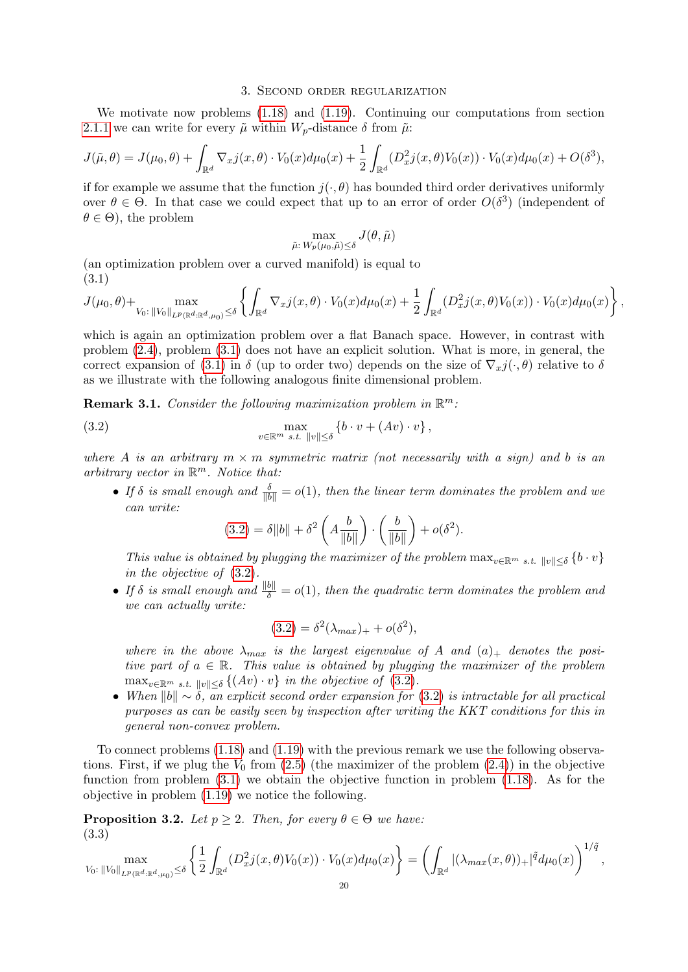### 3. Second order regularization

<span id="page-19-0"></span>We motivate now problems [\(1.18\)](#page-7-0) and [\(1.19\)](#page-7-1). Continuing our computations from section [2.1.1](#page-13-0) we can write for every  $\tilde{\mu}$  within  $W_p$ -distance  $\delta$  from  $\tilde{\mu}$ :

$$
J(\tilde{\mu}, \theta) = J(\mu_0, \theta) + \int_{\mathbb{R}^d} \nabla_x j(x, \theta) \cdot V_0(x) d\mu_0(x) + \frac{1}{2} \int_{\mathbb{R}^d} (D_x^2 j(x, \theta) V_0(x)) \cdot V_0(x) d\mu_0(x) + O(\delta^3),
$$

if for example we assume that the function  $j(\cdot,\theta)$  has bounded third order derivatives uniformly over  $\theta \in \Theta$ . In that case we could expect that up to an error of order  $O(\delta^3)$  (independent of  $\theta \in \Theta$ , the problem

$$
\max_{\tilde{\mu}: \, W_p(\mu_0,\tilde{\mu}) \leq \delta} J(\theta,\tilde{\mu})
$$

(an optimization problem over a curved manifold) is equal to (3.1)

<span id="page-19-1"></span>
$$
J(\mu_0, \theta) + \max_{V_0: \|V_0\|_{L^p(\mathbb{R}^d, \mathbb{R}^d, \mu_0)} \le \delta} \left\{ \int_{\mathbb{R}^d} \nabla_x j(x, \theta) \cdot V_0(x) d\mu_0(x) + \frac{1}{2} \int_{\mathbb{R}^d} (D_x^2 j(x, \theta) V_0(x)) \cdot V_0(x) d\mu_0(x) \right\},
$$

which is again an optimization problem over a flat Banach space. However, in contrast with problem [\(2.4\)](#page-14-1), problem [\(3.1\)](#page-19-1) does not have an explicit solution. What is more, in general, the correct expansion of [\(3.1\)](#page-19-1) in  $\delta$  (up to order two) depends on the size of  $\nabla_x j(\cdot, \theta)$  relative to  $\delta$ as we illustrate with the following analogous finite dimensional problem.

**Remark 3.1.** Consider the following maximization problem in  $\mathbb{R}^m$ .

(3.2) 
$$
\max_{v \in \mathbb{R}^m \ s.t. \ ||v|| \leq \delta} \left\{ b \cdot v + (Av) \cdot v \right\},
$$

where A is an arbitrary  $m \times m$  symmetric matrix (not necessarily with a sign) and b is an arbitrary vector in  $\mathbb{R}^m$ . Notice that:

• If  $\delta$  is small enough and  $\frac{\delta}{\|b\|} = o(1)$ , then the linear term dominates the problem and we can write:

<span id="page-19-2"></span>
$$
(3.2) = \delta ||b|| + \delta^2 \left( A \frac{b}{\|b\|} \right) \cdot \left( \frac{b}{\|b\|} \right) + o(\delta^2).
$$

This value is obtained by plugging the maximizer of the problem  $\max_{v \in \mathbb{R}^m} s.t. ||v|| < \delta} {\{b \cdot v\}}$ in the objective of [\(3.2\)](#page-19-2).

• If  $\delta$  is small enough and  $\frac{\|b\|}{\delta} = o(1)$ , then the quadratic term dominates the problem and we can actually write:

$$
(3.2) = \delta^2(\lambda_{max})_+ + o(\delta^2),
$$

where in the above  $\lambda_{max}$  is the largest eigenvalue of A and  $(a)_+$  denotes the positive part of  $a \in \mathbb{R}$ . This value is obtained by plugging the maximizer of the problem  $\max_{v \in \mathbb{R}^m} s.t. ||v|| \leq \delta \left\{ (Av) \cdot v \right\}$  in the objective of [\(3.2\)](#page-19-2).

• When  $||b|| \sim \delta$ , an explicit second order expansion for [\(3.2\)](#page-19-2) is intractable for all practical purposes as can be easily seen by inspection after writing the KKT conditions for this in general non-convex problem.

To connect problems [\(1.18\)](#page-7-0) and [\(1.19\)](#page-7-1) with the previous remark we use the following observations. First, if we plug the  $V_0$  from [\(2.5\)](#page-15-1) (the maximizer of the problem [\(2.4\)](#page-14-1)) in the objective function from problem [\(3.1\)](#page-19-1) we obtain the objective function in problem [\(1.18\)](#page-7-0). As for the objective in problem [\(1.19\)](#page-7-1) we notice the following.

**Proposition 3.2.** Let  $p \geq 2$ . Then, for every  $\theta \in \Theta$  we have: (3.3)

<span id="page-19-3"></span>
$$
\max_{V_0:\,||V_0||_{L^p(\mathbb{R}^d:\mathbb{R}^d,\mu_0)}\leq\delta}\left\{\frac{1}{2}\int_{\mathbb{R}^d}(D^2_xj(x,\theta)V_0(x))\cdot V_0(x)d\mu_0(x)\right\}=\left(\int_{\mathbb{R}^d}|(\lambda_{max}(x,\theta))_+|^{\tilde{q}}d\mu_0(x)\right)^{1/\tilde{q}},
$$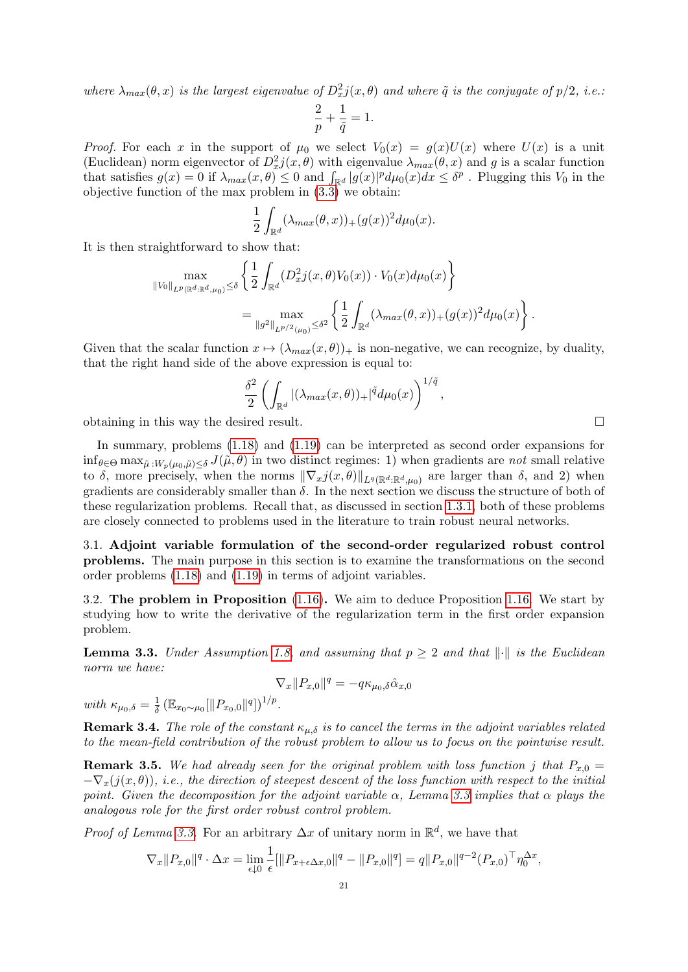where  $\lambda_{max}(\theta, x)$  is the largest eigenvalue of  $D_x^2 j(x, \theta)$  and where  $\tilde{q}$  is the conjugate of  $p/2$ , i.e.:

$$
\frac{2}{p} + \frac{1}{\tilde{q}} = 1.
$$

*Proof.* For each x in the support of  $\mu_0$  we select  $V_0(x) = q(x)U(x)$  where  $U(x)$  is a unit (Euclidean) norm eigenvector of  $D_x^2 j(x, \theta)$  with eigenvalue  $\lambda_{max}(\theta, x)$  and g is a scalar function that satisfies  $g(x) = 0$  if  $\lambda_{max}(x, \theta) \leq 0$  and  $\int_{\mathbb{R}^d} |g(x)|^p d\mu_0(x) dx \leq \delta^p$ . Plugging this  $V_0$  in the objective function of the max problem in [\(3.3\)](#page-19-3) we obtain:

$$
\frac{1}{2} \int_{\mathbb{R}^d} (\lambda_{max}(\theta, x))_+(g(x))^2 d\mu_0(x).
$$

It is then straightforward to show that:

$$
\max_{\|V_0\|_{L^p(\mathbb{R}^d:\mathbb{R}^d,\mu_0)}\leq\delta} \left\{ \frac{1}{2} \int_{\mathbb{R}^d} (D_x^2 j(x,\theta)V_0(x)) \cdot V_0(x) d\mu_0(x) \right\} \n= \max_{\|g^2\|_{L^{p/2}(\mu_0)}\leq\delta^2} \left\{ \frac{1}{2} \int_{\mathbb{R}^d} (\lambda_{max}(\theta,x))_+(g(x))^2 d\mu_0(x) \right\}.
$$

Given that the scalar function  $x \mapsto (\lambda_{max}(x, \theta))_+$  is non-negative, we can recognize, by duality, that the right hand side of the above expression is equal to:

$$
\frac{\delta^2}{2}\left(\int_{\mathbb{R}^d} |(\lambda_{max}(x,\theta))_+|^{\tilde{q}}d\mu_0(x)\right)^{1/\tilde{q}},
$$

obtaining in this way the desired result.

In summary, problems [\(1.18\)](#page-7-0) and [\(1.19\)](#page-7-1) can be interpreted as second order expansions for  $\inf_{\theta \in \Theta} \max_{\tilde{\mu}:W_n(\mu_0,\tilde{\mu}) \leq \delta} J(\tilde{\mu},\theta)$  in two distinct regimes: 1) when gradients are not small relative to  $\delta$ , more precisely, when the norms  $\|\nabla_x j(x, \theta)\|_{L^q(\mathbb{R}^d : \mathbb{R}^d, \mu_0)}$  are larger than  $\delta$ , and 2) when gradients are considerably smaller than  $\delta$ . In the next section we discuss the structure of both of these regularization problems. Recall that, as discussed in section [1.3.1,](#page-6-3) both of these problems are closely connected to problems used in the literature to train robust neural networks.

3.1. Adjoint variable formulation of the second-order regularized robust control problems. The main purpose in this section is to examine the transformations on the second order problems [\(1.18\)](#page-7-0) and [\(1.19\)](#page-7-1) in terms of adjoint variables.

3.2. The problem in Proposition [\(1.16\)](#page-8-0). We aim to deduce Proposition [1.16.](#page-8-0) We start by studying how to write the derivative of the regularization term in the first order expansion problem.

<span id="page-20-0"></span>**Lemma 3.3.** Under Assumption [1.8,](#page-4-3) and assuming that  $p > 2$  and that  $\|\cdot\|$  is the Euclidean norm we have:

$$
\nabla_x ||P_{x,0}||^q = -q \kappa_{\mu_0, \delta} \hat{\alpha}_{x,0}
$$

with  $\kappa_{\mu_0,\delta} = \frac{1}{\delta}$  $\frac{1}{\delta} (\mathbb{E}_{x_0 \sim \mu_0} [\|P_{x_0,0}\|^q])^{1/p}.$ 

**Remark 3.4.** The role of the constant  $\kappa_{\mu,\delta}$  is to cancel the terms in the adjoint variables related to the mean-field contribution of the robust problem to allow us to focus on the pointwise result.

**Remark 3.5.** We had already seen for the original problem with loss function j that  $P_{x,0} =$  $-\nabla_x(j(x, \theta))$ , i.e., the direction of steepest descent of the loss function with respect to the initial point. Given the decomposition for the adjoint variable  $\alpha$ , Lemma [3.3](#page-20-0) implies that  $\alpha$  plays the analogous role for the first order robust control problem.

*Proof of Lemma [3.3.](#page-20-0)* For an arbitrary  $\Delta x$  of unitary norm in  $\mathbb{R}^d$ , we have that

$$
\nabla_x ||P_{x,0}||^q \cdot \Delta x = \lim_{\epsilon \downarrow 0} \frac{1}{\epsilon} [\|P_{x+\epsilon \Delta x,0}\|^q - \|P_{x,0}\|^q] = q ||P_{x,0}||^{q-2} (P_{x,0})^\top \eta_0^{\Delta x},
$$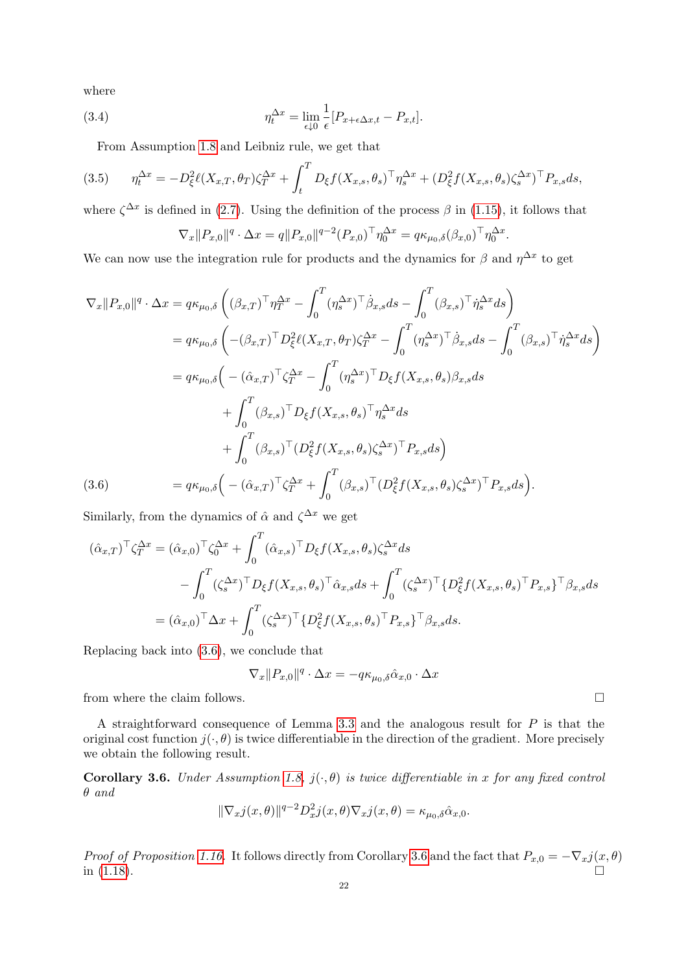where

(3.4) 
$$
\eta_t^{\Delta x} = \lim_{\epsilon \downarrow 0} \frac{1}{\epsilon} [P_{x+\epsilon \Delta x,t} - P_{x,t}].
$$

From Assumption [1.8](#page-4-3) and Leibniz rule, we get that

$$
(3.5) \qquad \eta_t^{\Delta x} = -D_{\xi}^2 \ell(X_{x,T}, \theta_T) \zeta_T^{\Delta x} + \int_t^T D_{\xi} f(X_{x,s}, \theta_s)^\top \eta_s^{\Delta x} + (D_{\xi}^2 f(X_{x,s}, \theta_s) \zeta_s^{\Delta x})^\top P_{x,s} ds,
$$

where  $\zeta^{\Delta x}$  is defined in [\(2.7\)](#page-17-1). Using the definition of the process  $\beta$  in [\(1.15\)](#page-6-5), it follows that

$$
\nabla_x ||P_{x,0}||^q \cdot \Delta x = q||P_{x,0}||^{q-2}(P_{x,0})^\top \eta_0^{\Delta x} = q\kappa_{\mu_0,\delta}(\beta_{x,0})^\top \eta_0^{\Delta x}.
$$

We can now use the integration rule for products and the dynamics for  $\beta$  and  $\eta^{\Delta x}$  to get

$$
\nabla_x ||P_{x,0}||^q \cdot \Delta x = q \kappa_{\mu_0, \delta} \left( (\beta_{x,T})^\top \eta_T^{\Delta x} - \int_0^T (\eta_s^{\Delta x})^\top \dot{\beta}_{x,s} ds - \int_0^T (\beta_{x,s})^\top \dot{\eta}_s^{\Delta x} ds \right)
$$
  
\n
$$
= q \kappa_{\mu_0, \delta} \left( -(\beta_{x,T})^\top D_\xi^2 \ell(X_{x,T}, \theta_T) \zeta_T^{\Delta x} - \int_0^T (\eta_s^{\Delta x})^\top \dot{\beta}_{x,s} ds - \int_0^T (\beta_{x,s})^\top \dot{\eta}_s^{\Delta x} ds \right)
$$
  
\n
$$
= q \kappa_{\mu_0, \delta} \left( -(\hat{\alpha}_{x,T})^\top \zeta_T^{\Delta x} - \int_0^T (\eta_s^{\Delta x})^\top D_\xi f(X_{x,s}, \theta_s) \beta_{x,s} ds + \int_0^T (\beta_{x,s})^\top D_\xi f(X_{x,s}, \theta_s)^\top \eta_s^{\Delta x} ds \right)
$$
  
\n
$$
+ \int_0^T (\beta_{x,s})^\top (D_\xi^2 f(X_{x,s}, \theta_s) \zeta_s^{\Delta x})^\top P_{x,s} ds)
$$
  
\n(3.6)  
\n
$$
= q \kappa_{\mu_0, \delta} \left( -(\hat{\alpha}_{x,T})^\top \zeta_T^{\Delta x} + \int_0^T (\beta_{x,s})^\top (D_\xi^2 f(X_{x,s}, \theta_s) \zeta_s^{\Delta x})^\top P_{x,s} ds \right).
$$

<span id="page-21-0"></span>Similarly, from the dynamics of  $\hat{\alpha}$  and  $\zeta^{\Delta x}$  we get

$$
(\hat{\alpha}_{x,T})^{\top} \zeta_T^{\Delta x} = (\hat{\alpha}_{x,0})^{\top} \zeta_0^{\Delta x} + \int_0^T (\hat{\alpha}_{x,s})^{\top} D_{\xi} f(X_{x,s}, \theta_s) \zeta_s^{\Delta x} ds - \int_0^T (\zeta_s^{\Delta x})^{\top} D_{\xi} f(X_{x,s}, \theta_s)^{\top} \hat{\alpha}_{x,s} ds + \int_0^T (\zeta_s^{\Delta x})^{\top} \{D_{\xi}^2 f(X_{x,s}, \theta_s)^{\top} P_{x,s}\}^{\top} \beta_{x,s} ds = (\hat{\alpha}_{x,0})^{\top} \Delta x + \int_0^T (\zeta_s^{\Delta x})^{\top} \{D_{\xi}^2 f(X_{x,s}, \theta_s)^{\top} P_{x,s}\}^{\top} \beta_{x,s} ds.
$$

Replacing back into [\(3.6\)](#page-21-0), we conclude that

$$
\nabla_x ||P_{x,0}||^q \cdot \Delta x = -q\kappa_{\mu_0, \delta} \hat{\alpha}_{x,0} \cdot \Delta x
$$

from where the claim follows.  $\hfill \Box$ 

A straightforward consequence of Lemma [3.3](#page-20-0) and the analogous result for P is that the original cost function  $j(\cdot, \theta)$  is twice differentiable in the direction of the gradient. More precisely we obtain the following result.

<span id="page-21-1"></span>Corollary 3.6. Under Assumption [1.8,](#page-4-3)  $j(\cdot,\theta)$  is twice differentiable in x for any fixed control θ and

$$
\|\nabla_x j(x,\theta)\|^{q-2} D_x^2 j(x,\theta) \nabla_x j(x,\theta) = \kappa_{\mu_0,\delta} \hat{\alpha}_{x,0}.
$$

Proof of Proposition [1.16.](#page-8-0) It follows directly from Corollary [3.6](#page-21-1) and the fact that  $P_{x,0} = -\nabla_x j(x,\theta)$ in  $(1.18)$ .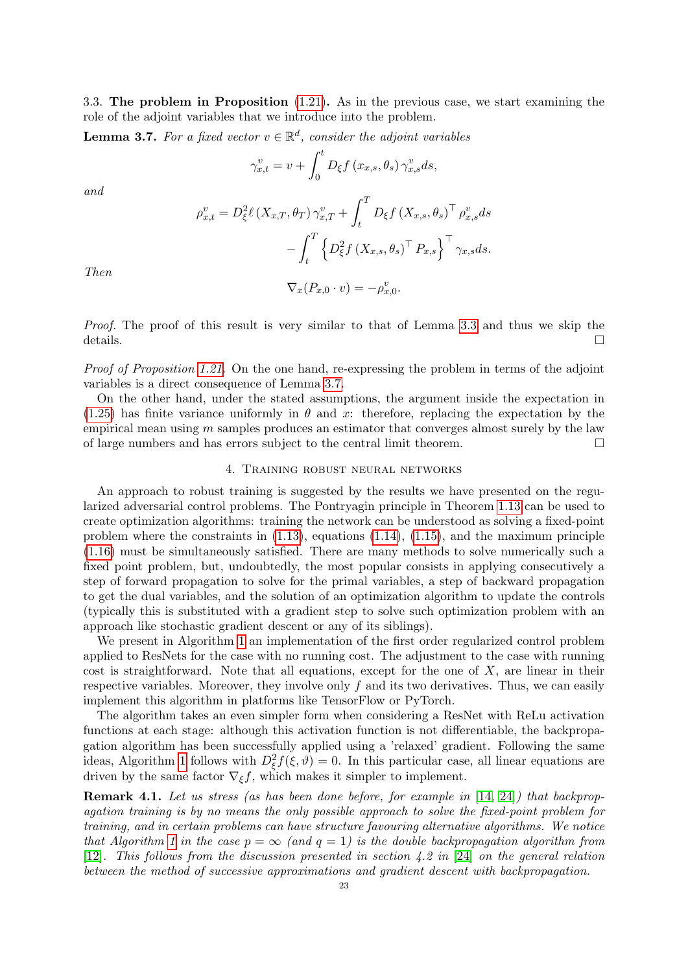3.3. The problem in Proposition [\(1.21\)](#page-10-1). As in the previous case, we start examining the role of the adjoint variables that we introduce into the problem.

<span id="page-22-2"></span>**Lemma 3.7.** For a fixed vector  $v \in \mathbb{R}^d$ , consider the adjoint variables

$$
\gamma_{x,t}^v = v + \int_0^t D_{\xi} f(x_{x,s}, \theta_s) \, \gamma_{x,s}^v ds,
$$

and

$$
\rho_{x,t}^v = D_{\xi}^2 \ell \left( X_{x,T}, \theta_T \right) \gamma_{x,T}^v + \int_t^T D_{\xi} f \left( X_{x,s}, \theta_s \right)^\top \rho_{x,s}^v ds
$$

$$
- \int_t^T \left\{ D_{\xi}^2 f \left( X_{x,s}, \theta_s \right)^\top P_{x,s} \right\}^\top \gamma_{x,s} ds.
$$

$$
\nabla_x (P_{x,0} \cdot v) = -\rho_{x,0}^v.
$$

Then

Proof. The proof of this result is very similar to that of Lemma [3.3](#page-20-0) and thus we skip the details.  $\Box$ 

Proof of Proposition [1.21.](#page-10-1) On the one hand, re-expressing the problem in terms of the adjoint variables is a direct consequence of Lemma [3.7.](#page-22-2)

On the other hand, under the stated assumptions, the argument inside the expectation in  $(1.25)$  has finite variance uniformly in  $\theta$  and x: therefore, replacing the expectation by the empirical mean using  $m$  samples produces an estimator that converges almost surely by the law of large numbers and has errors subject to the central limit theorem.  $\Box$ 

## 4. Training robust neural networks

<span id="page-22-0"></span>An approach to robust training is suggested by the results we have presented on the regularized adversarial control problems. The Pontryagin principle in Theorem [1.13](#page-6-2) can be used to create optimization algorithms: training the network can be understood as solving a fixed-point problem where the constraints in  $(1.13)$ , equations  $(1.14)$ ,  $(1.15)$ , and the maximum principle [\(1.16\)](#page-6-4) must be simultaneously satisfied. There are many methods to solve numerically such a fixed point problem, but, undoubtedly, the most popular consists in applying consecutively a step of forward propagation to solve for the primal variables, a step of backward propagation to get the dual variables, and the solution of an optimization algorithm to update the controls (typically this is substituted with a gradient step to solve such optimization problem with an approach like stochastic gradient descent or any of its siblings).

We present in Algorithm [1](#page-23-0) an implementation of the first order regularized control problem applied to ResNets for the case with no running cost. The adjustment to the case with running cost is straightforward. Note that all equations, except for the one of  $X$ , are linear in their respective variables. Moreover, they involve only  $f$  and its two derivatives. Thus, we can easily implement this algorithm in platforms like TensorFlow or PyTorch.

The algorithm takes an even simpler form when considering a ResNet with ReLu activation functions at each stage: although this activation function is not differentiable, the backpropagation algorithm has been successfully applied using a 'relaxed' gradient. Following the same ideas, Algorithm [1](#page-23-0) follows with  $D_{\xi}^{2} f(\xi, \vartheta) = 0$ . In this particular case, all linear equations are driven by the same factor  $\nabla_{\xi} f$ , which makes it simpler to implement.

<span id="page-22-1"></span>**Remark 4.1.** Let us stress (as has been done before, for example in [\[14,](#page-27-9) [24\]](#page-28-6)) that backpropagation training is by no means the only possible approach to solve the fixed-point problem for training, and in certain problems can have structure favouring alternative algorithms. We notice that Algorithm [1](#page-23-0) in the case  $p = \infty$  (and  $q = 1$ ) is the double backpropagation algorithm from [\[12\]](#page-27-8). This follows from the discussion presented in section 4.2 in [\[24\]](#page-28-6) on the general relation between the method of successive approximations and gradient descent with backpropagation.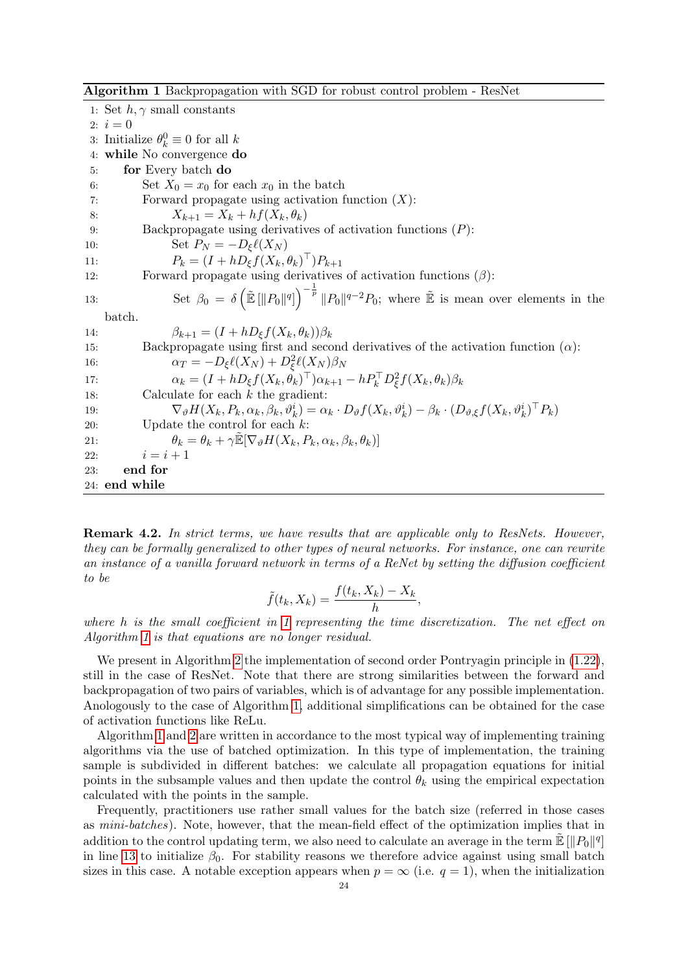<span id="page-23-0"></span>Algorithm 1 Backpropagation with SGD for robust control problem - ResNet

1: Set  $h, \gamma$  small constants 2:  $i = 0$ 3: Initialize  $\theta_k^0 \equiv 0$  for all k 4: while No convergence do 5: for Every batch do 6: Set  $X_0 = x_0$  for each  $x_0$  in the batch 7: Forward propagate using activation function  $(X)$ : 8:  $X_{k+1} = X_k + h f(X_k, \theta_k)$ 9: Backpropagate using derivatives of activation functions (P): 10:  $\text{Set } P_N = -D_{\xi} \ell(X_N)$ 11:  $P_k = (I + hD_{\xi}f(X_k, \theta_k)^{\top})P_{k+1}$ 12: Forward propagate using derivatives of activation functions  $(\beta)$ : 13: Set  $\beta_0 = \delta \left( \tilde{\mathbb{E}} \left[ ||P_0||^q \right] \right)^{-\frac{1}{p}} ||P_0||^{q-2} P_0$ ; where  $\tilde{\mathbb{E}}$  is mean over elements in the batch. 14:  $\beta_{k+1} = (I + hD_{\xi}f(X_k, \theta_k))\beta_k$ 15: Backpropagate using first and second derivatives of the activation function  $(\alpha)$ : 16:  $\alpha_T = -D_{\xi} \ell(X_N) + D_{\xi}^2 \ell(X_N) \beta_N$ 17:  $\alpha_k = (I + hD_{\xi}f(X_k, \theta_k)^{\top})\alpha_{k+1} - hP_k^{\top}D_{\xi}^2f(X_k, \theta_k)\beta_k$ 18: Calculate for each  $k$  the gradient: 19:  $\nabla_{\theta} H(X_k, P_k, \alpha_k, \beta_k, \vartheta_k^i) = \alpha_k \cdot D_{\theta} f(X_k, \vartheta_k^i) - \beta_k \cdot (D_{\vartheta, \xi} f(X_k, \vartheta_k^i)^\top P_k)$ 20: Update the control for each  $k$ : 21:  $\theta_k = \theta_k + \gamma \tilde{\mathbb{E}}[\nabla_\vartheta H(X_k, P_k, \alpha_k, \beta_k, \theta_k)]$ 22:  $i = i + 1$ 23: end for 24: end while

**Remark 4.2.** In strict terms, we have results that are applicable only to ResNets. However, they can be formally generalized to other types of neural networks. For instance, one can rewrite an instance of a vanilla forward network in terms of a ReNet by setting the diffusion coefficient to be

$$
\tilde{f}(t_k, X_k) = \frac{f(t_k, X_k) - X_k}{h},
$$

where h is the small coefficient in [1](#page-23-0) representing the time discretization. The net effect on Algorithm [1](#page-23-0) is that equations are no longer residual.

We present in Algorithm [2](#page-24-0) the implementation of second order Pontryagin principle in  $(1.22)$ , still in the case of ResNet. Note that there are strong similarities between the forward and backpropagation of two pairs of variables, which is of advantage for any possible implementation. Anologously to the case of Algorithm [1,](#page-23-0) additional simplifications can be obtained for the case of activation functions like ReLu.

Algorithm [1](#page-23-0) and [2](#page-24-0) are written in accordance to the most typical way of implementing training algorithms via the use of batched optimization. In this type of implementation, the training sample is subdivided in different batches: we calculate all propagation equations for initial points in the subsample values and then update the control  $\theta_k$  using the empirical expectation calculated with the points in the sample.

Frequently, practitioners use rather small values for the batch size (referred in those cases as mini-batches). Note, however, that the mean-field effect of the optimization implies that in addition to the control updating term, we also need to calculate an average in the term  $\tilde{\mathbb{E}} \left[ \|P_0\|^q \right]$ in line [13](#page-24-0) to initialize  $\beta_0$ . For stability reasons we therefore advice against using small batch sizes in this case. A notable exception appears when  $p = \infty$  (i.e.  $q = 1$ ), when the initialization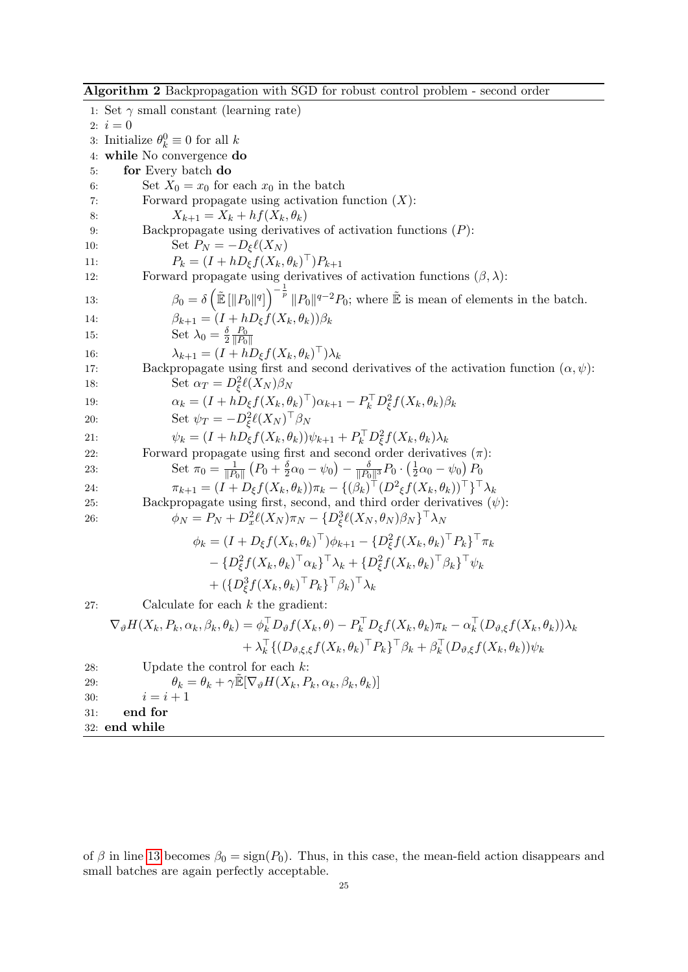<span id="page-24-0"></span>Algorithm 2 Backpropagation with SGD for robust control problem - second order

1: Set  $\gamma$  small constant (learning rate) 2:  $i = 0$ 3: Initialize  $\theta_k^0 \equiv 0$  for all k 4: while No convergence do 5: for Every batch do 6: Set  $X_0 = x_0$  for each  $x_0$  in the batch 7: Forward propagate using activation function  $(X)$ : 8:  $X_{k+1} = X_k + h f(X_k, \theta_k)$ 9: Backpropagate using derivatives of activation functions (P): 10: Set  $P_N = -D_{\xi} \ell(X_N)$ 11:  $P_k = (I + hD_{\xi}f(X_k, \theta_k)^{\top})P_{k+1}$ 12: Forward propagate using derivatives of activation functions  $(\beta, \lambda)$ : 13:  $\beta_0 = \delta \left( \tilde{\mathbb{E}} \left[ ||P_0||^q \right] \right)^{-\frac{1}{p}} ||P_0||^{q-2} P_0$ ; where  $\tilde{\mathbb{E}}$  is mean of elements in the batch. 14:  $\beta_{k+1} = (I + hD_{\xi}f(X_k, \theta_k))\beta_k$ 15: Set  $\lambda_0 = \frac{\delta}{2}$  $\frac{\delta}{2} \frac{P_0}{\| P_0}$  $||P_0||$ 16:  $\lambda_{k+1} = (I + hD_{\xi}f(X_k, \theta_k)^{\top})\lambda_k$ 17: Backpropagate using first and second derivatives of the activation function  $(\alpha, \psi)$ : 18: Set  $\alpha_T = D_{\xi}^2 \ell(X_N) \beta_N$ 19:  $\alpha_k = (I + hD_{\xi}f(X_k, \theta_k)^{\top})\alpha_{k+1} - P_k^{\top}D_{\xi}^2f(X_k, \theta_k)\beta_k$ 20: Set  $\psi_T = -D_{\xi}^2 \ell(X_N)^{\top} \beta_N$ 21:  $\psi_k = (I + hD_{\xi}f(X_k, \theta_k))\psi_{k+1} + P_k^{\top}D_{\xi}^2f(X_k, \theta_k)\lambda_k$ 22: Forward propagate using first and second order derivatives  $(\pi)$ : 23: Set  $\pi_0 = \frac{1}{\|P\|}$  $\frac{1}{\|P_0\|}\left(P_0+\frac{\delta}{2}\right)$  $\frac{\delta}{2} \alpha_0 - \psi_0 \big) - \frac{\delta}{\| P_0 \|}$  $\frac{\delta}{\|P_0\|^3}P_0 \cdot \big(\frac{1}{2}$  $\frac{1}{2}\alpha_0 - \psi_0$ )  $P_0$ 24:  $\pi_{k+1} = (I + D_{\xi}f(X_k, \theta_k))\pi_k - \{(\beta_k)^{\top}(D^2_{\xi}f(X_k, \theta_k))^{\top}\}^{\top} \lambda_k$ 25: Backpropagate using first, second, and third order derivatives  $(\psi)$ : 26:  $\phi_N = P_N + D_x^2 \ell(X_N) \pi_N - \{D_{\xi}^3 \ell(X_N, \theta_N) \beta_N\}^{\top} \lambda_N$  $\phi_k = (I + D_{\xi}f(X_k, \theta_k)^{\top})\phi_{k+1} - \{D_{\xi}^2f(X_k, \theta_k)^{\top}P_k\}^{\top}\pi_k$  $-\{D_{\xi}^2 f(X_k,\theta_k)^\top \alpha_k\}^\top \lambda_k + \{D_{\xi}^2 f(X_k,\theta_k)^\top \beta_k\}^\top \psi_k$  $+ \,(\{\mathit{D}_\xi^3f(\mathit{X}_k,\theta_k)^\top\mathit{P}_k\}^\top\beta_k)^\top\lambda_k$ 27: Calculate for each  $k$  the gradient:  $\nabla_\vartheta H(X_k,P_k,\alpha_k,\beta_k,\theta_k) = \phi_k^\top D_\vartheta f(X_k,\theta) - P_k^\top D_\xi f(X_k,\theta_k) \pi_k - \alpha_k^\top (D_{\vartheta,\xi} f(X_k,\theta_k)) \lambda_k$  $+ \lambda_k^\top \{ (D_{\vartheta, \xi, \xi} f(X_k, \theta_k)^\top P_k \}^\top \beta_k + \beta_k^\top (D_{\vartheta, \xi} f(X_k, \theta_k)) \psi_k$ 28: Update the control for each  $k$ : 29:  $\theta_k = \theta_k + \gamma \mathbb{E}[\nabla_{\vartheta} H(X_k, P_k, \alpha_k, \beta_k, \theta_k)]$ 30:  $i = i + 1$ 31: end for 32: end while

of  $\beta$  in line [13](#page-24-0) becomes  $\beta_0 = \text{sign}(P_0)$ . Thus, in this case, the mean-field action disappears and small batches are again perfectly acceptable.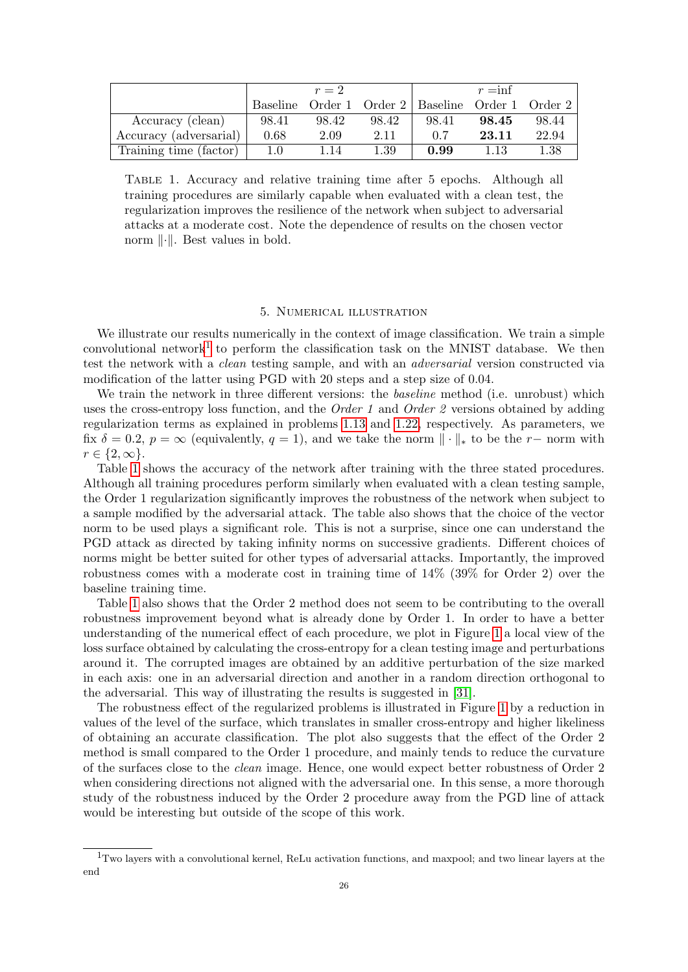<span id="page-25-2"></span>

|                        |          | $r=2$   |          |                                    | $r = inf$ |       |
|------------------------|----------|---------|----------|------------------------------------|-----------|-------|
|                        | Baseline | Order 1 |          | Order 2   Baseline Order 1 Order 2 |           |       |
| Accuracy (clean)       | 98.41    | 98.42   | 98.42    | 98.41                              | 98.45     | 98.44 |
| Accuracy (adversarial) | 0.68     | 2.09    | 2.11     | 0.7                                | 23.11     | 22.94 |
| Training time (factor) | 1.0      | 1.14    | $1.39\,$ | 0.99                               | 1.13      | 1.38  |

Table 1. Accuracy and relative training time after 5 epochs. Although all training procedures are similarly capable when evaluated with a clean test, the regularization improves the resilience of the network when subject to adversarial attacks at a moderate cost. Note the dependence of results on the chosen vector norm  $\|\cdot\|$ . Best values in bold.

## 5. Numerical illustration

<span id="page-25-0"></span>We illustrate our results numerically in the context of image classification. We train a simple convolutional network<sup>[1](#page-25-1)</sup> to perform the classification task on the MNIST database. We then test the network with a clean testing sample, and with an adversarial version constructed via modification of the latter using PGD with 20 steps and a step size of 0.04.

We train the network in three different versions: the *baseline* method (i.e. unrobust) which uses the cross-entropy loss function, and the *Order 1* and *Order 2* versions obtained by adding regularization terms as explained in problems [1.13](#page-6-0) and [1.22,](#page-8-0) respectively. As parameters, we fix  $\delta = 0.2$ ,  $p = \infty$  (equivalently,  $q = 1$ ), and we take the norm  $\|\cdot\|_*$  to be the r- norm with  $r \in \{2, \infty\}.$ 

Table [1](#page-25-2) shows the accuracy of the network after training with the three stated procedures. Although all training procedures perform similarly when evaluated with a clean testing sample, the Order 1 regularization significantly improves the robustness of the network when subject to a sample modified by the adversarial attack. The table also shows that the choice of the vector norm to be used plays a significant role. This is not a surprise, since one can understand the PGD attack as directed by taking infinity norms on successive gradients. Different choices of norms might be better suited for other types of adversarial attacks. Importantly, the improved robustness comes with a moderate cost in training time of  $14\%$  (39% for Order 2) over the baseline training time.

Table [1](#page-25-2) also shows that the Order 2 method does not seem to be contributing to the overall robustness improvement beyond what is already done by Order 1. In order to have a better understanding of the numerical effect of each procedure, we plot in Figure [1](#page-26-1) a local view of the loss surface obtained by calculating the cross-entropy for a clean testing image and perturbations around it. The corrupted images are obtained by an additive perturbation of the size marked in each axis: one in an adversarial direction and another in a random direction orthogonal to the adversarial. This way of illustrating the results is suggested in [\[31\]](#page-28-19).

The robustness effect of the regularized problems is illustrated in Figure [1](#page-26-1) by a reduction in values of the level of the surface, which translates in smaller cross-entropy and higher likeliness of obtaining an accurate classification. The plot also suggests that the effect of the Order 2 method is small compared to the Order 1 procedure, and mainly tends to reduce the curvature of the surfaces close to the clean image. Hence, one would expect better robustness of Order 2 when considering directions not aligned with the adversarial one. In this sense, a more thorough study of the robustness induced by the Order 2 procedure away from the PGD line of attack would be interesting but outside of the scope of this work.

<span id="page-25-1"></span><sup>1</sup>Two layers with a convolutional kernel, ReLu activation functions, and maxpool; and two linear layers at the end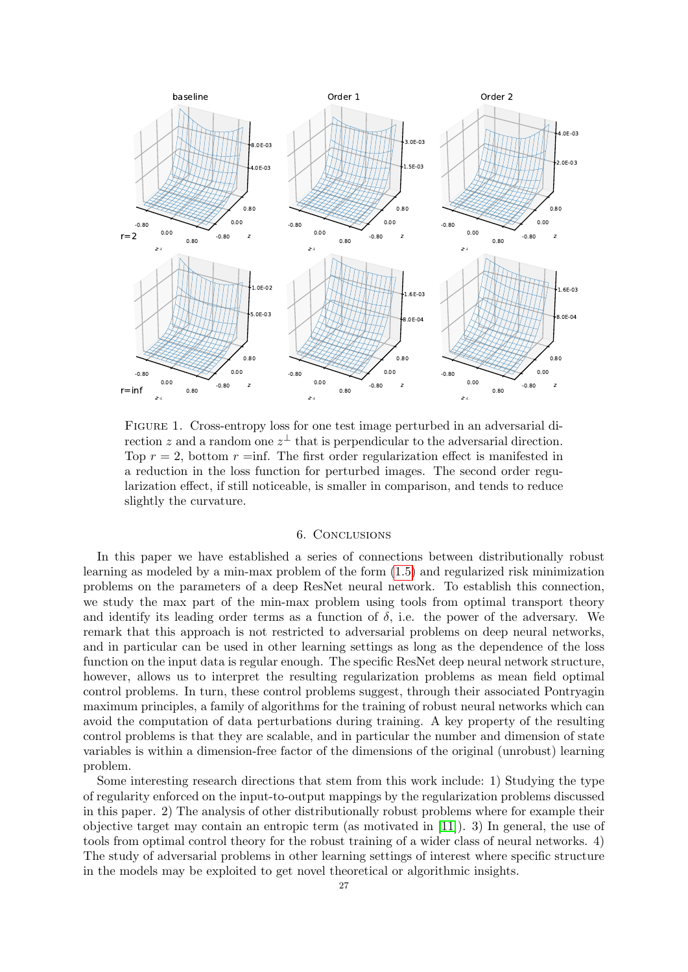<span id="page-26-1"></span>

Figure 1. Cross-entropy loss for one test image perturbed in an adversarial direction z and a random one  $z^{\perp}$  that is perpendicular to the adversarial direction. Top  $r = 2$ , bottom  $r = inf$ . The first order regularization effect is manifested in a reduction in the loss function for perturbed images. The second order regularization effect, if still noticeable, is smaller in comparison, and tends to reduce slightly the curvature.

### 6. Conclusions

<span id="page-26-0"></span>In this paper we have established a series of connections between distributionally robust learning as modeled by a min-max problem of the form [\(1.5\)](#page-3-0) and regularized risk minimization problems on the parameters of a deep ResNet neural network. To establish this connection, we study the max part of the min-max problem using tools from optimal transport theory and identify its leading order terms as a function of  $\delta$ , i.e. the power of the adversary. We remark that this approach is not restricted to adversarial problems on deep neural networks, and in particular can be used in other learning settings as long as the dependence of the loss function on the input data is regular enough. The specific ResNet deep neural network structure, however, allows us to interpret the resulting regularization problems as mean field optimal control problems. In turn, these control problems suggest, through their associated Pontryagin maximum principles, a family of algorithms for the training of robust neural networks which can avoid the computation of data perturbations during training. A key property of the resulting control problems is that they are scalable, and in particular the number and dimension of state variables is within a dimension-free factor of the dimensions of the original (unrobust) learning problem.

Some interesting research directions that stem from this work include: 1) Studying the type of regularity enforced on the input-to-output mappings by the regularization problems discussed in this paper. 2) The analysis of other distributionally robust problems where for example their objective target may contain an entropic term (as motivated in [\[11\]](#page-27-19)). 3) In general, the use of tools from optimal control theory for the robust training of a wider class of neural networks. 4) The study of adversarial problems in other learning settings of interest where specific structure in the models may be exploited to get novel theoretical or algorithmic insights.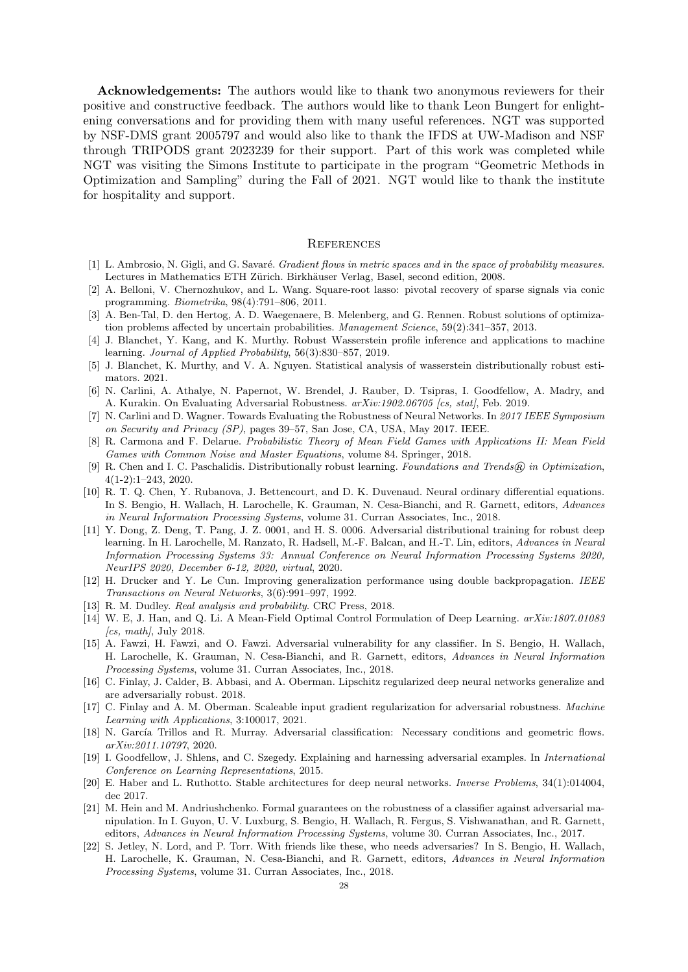Acknowledgements: The authors would like to thank two anonymous reviewers for their positive and constructive feedback. The authors would like to thank Leon Bungert for enlightening conversations and for providing them with many useful references. NGT was supported by NSF-DMS grant 2005797 and would also like to thank the IFDS at UW-Madison and NSF through TRIPODS grant 2023239 for their support. Part of this work was completed while NGT was visiting the Simons Institute to participate in the program "Geometric Methods in Optimization and Sampling" during the Fall of 2021. NGT would like to thank the institute for hospitality and support.

#### **REFERENCES**

- <span id="page-27-18"></span>[1] L. Ambrosio, N. Gigli, and G. Savaré. *Gradient flows in metric spaces and in the space of probability measures.* Lectures in Mathematics ETH Zürich. Birkhäuser Verlag, Basel, second edition, 2008.
- <span id="page-27-3"></span>[2] A. Belloni, V. Chernozhukov, and L. Wang. Square-root lasso: pivotal recovery of sparse signals via conic programming. Biometrika, 98(4):791–806, 2011.
- <span id="page-27-15"></span>[3] A. Ben-Tal, D. den Hertog, A. D. Waegenaere, B. Melenberg, and G. Rennen. Robust solutions of optimization problems affected by uncertain probabilities. Management Science, 59(2):341–357, 2013.
- <span id="page-27-0"></span>[4] J. Blanchet, Y. Kang, and K. Murthy. Robust Wasserstein profile inference and applications to machine learning. Journal of Applied Probability, 56(3):830–857, 2019.
- <span id="page-27-1"></span>[5] J. Blanchet, K. Murthy, and V. A. Nguyen. Statistical analysis of wasserstein distributionally robust estimators. 2021.
- <span id="page-27-20"></span>[6] N. Carlini, A. Athalye, N. Papernot, W. Brendel, J. Rauber, D. Tsipras, I. Goodfellow, A. Madry, and A. Kurakin. On Evaluating Adversarial Robustness.  $arXiv:1902.06705$  [cs, stat], Feb. 2019.
- <span id="page-27-21"></span>[7] N. Carlini and D. Wagner. Towards Evaluating the Robustness of Neural Networks. In 2017 IEEE Symposium on Security and Privacy (SP), pages 39–57, San Jose, CA, USA, May 2017. IEEE.
- <span id="page-27-16"></span>[8] R. Carmona and F. Delarue. Probabilistic Theory of Mean Field Games with Applications II: Mean Field Games with Common Noise and Master Equations, volume 84. Springer, 2018.
- <span id="page-27-2"></span>[9] R. Chen and I. C. Paschalidis. Distributionally robust learning. Foundations and Trends® in Optimization, 4(1-2):1–243, 2020.
- <span id="page-27-6"></span>[10] R. T. Q. Chen, Y. Rubanova, J. Bettencourt, and D. K. Duvenaud. Neural ordinary differential equations. In S. Bengio, H. Wallach, H. Larochelle, K. Grauman, N. Cesa-Bianchi, and R. Garnett, editors, Advances in Neural Information Processing Systems, volume 31. Curran Associates, Inc., 2018.
- <span id="page-27-19"></span>[11] Y. Dong, Z. Deng, T. Pang, J. Z. 0001, and H. S. 0006. Adversarial distributional training for robust deep learning. In H. Larochelle, M. Ranzato, R. Hadsell, M.-F. Balcan, and H.-T. Lin, editors, Advances in Neural Information Processing Systems 33: Annual Conference on Neural Information Processing Systems 2020, NeurIPS 2020, December 6-12, 2020, virtual, 2020.
- <span id="page-27-8"></span>[12] H. Drucker and Y. Le Cun. Improving generalization performance using double backpropagation. IEEE Transactions on Neural Networks, 3(6):991–997, 1992.
- <span id="page-27-17"></span>[13] R. M. Dudley. *Real analysis and probability*. CRC Press, 2018.
- <span id="page-27-9"></span>[14] W. E, J. Han, and Q. Li. A Mean-Field Optimal Control Formulation of Deep Learning. arXiv:1807.01083  $\int cs, \; math$ , July 2018.
- <span id="page-27-10"></span>[15] A. Fawzi, H. Fawzi, and O. Fawzi. Adversarial vulnerability for any classifier. In S. Bengio, H. Wallach, H. Larochelle, K. Grauman, N. Cesa-Bianchi, and R. Garnett, editors, Advances in Neural Information Processing Systems, volume 31. Curran Associates, Inc., 2018.
- <span id="page-27-13"></span>[16] C. Finlay, J. Calder, B. Abbasi, and A. Oberman. Lipschitz regularized deep neural networks generalize and are adversarially robust. 2018.
- <span id="page-27-5"></span>[17] C. Finlay and A. M. Oberman. Scaleable input gradient regularization for adversarial robustness. Machine Learning with Applications, 3:100017, 2021.
- <span id="page-27-4"></span>[18] N. García Trillos and R. Murray. Adversarial classification: Necessary conditions and geometric flows. arXiv:2011.10797, 2020.
- <span id="page-27-12"></span>[19] I. Goodfellow, J. Shlens, and C. Szegedy. Explaining and harnessing adversarial examples. In International Conference on Learning Representations, 2015.
- <span id="page-27-7"></span>[20] E. Haber and L. Ruthotto. Stable architectures for deep neural networks. Inverse Problems, 34(1):014004, dec 2017.
- <span id="page-27-14"></span>[21] M. Hein and M. Andriushchenko. Formal guarantees on the robustness of a classifier against adversarial manipulation. In I. Guyon, U. V. Luxburg, S. Bengio, H. Wallach, R. Fergus, S. Vishwanathan, and R. Garnett, editors, Advances in Neural Information Processing Systems, volume 30. Curran Associates, Inc., 2017.
- <span id="page-27-11"></span>[22] S. Jetley, N. Lord, and P. Torr. With friends like these, who needs adversaries? In S. Bengio, H. Wallach, H. Larochelle, K. Grauman, N. Cesa-Bianchi, and R. Garnett, editors, Advances in Neural Information Processing Systems, volume 31. Curran Associates, Inc., 2018.